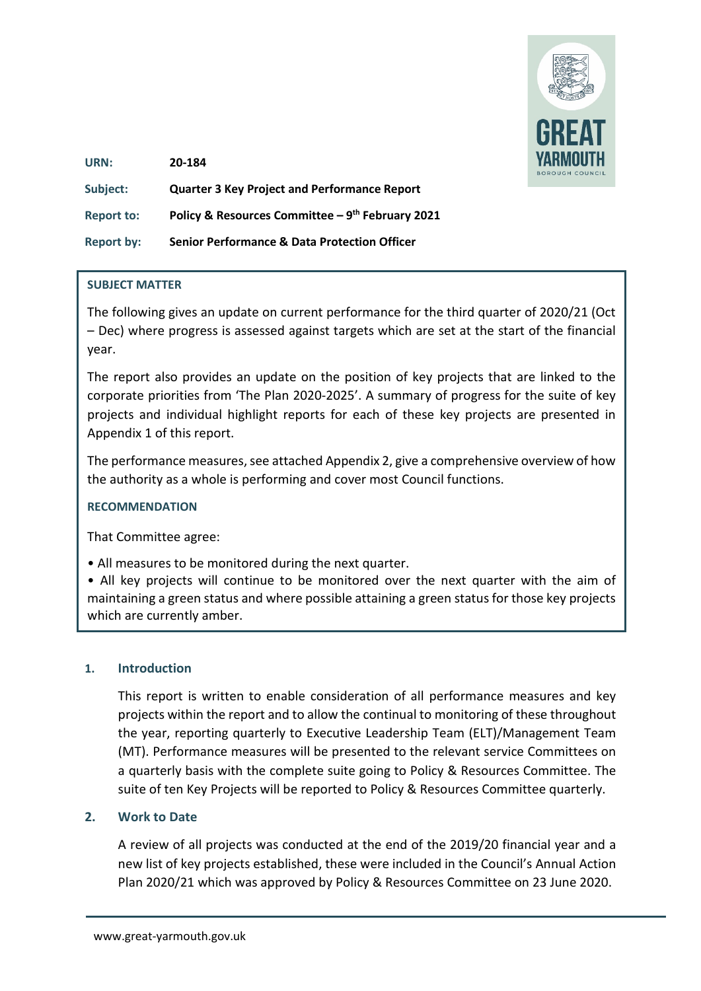

| URN:              | 20-184                                                  |
|-------------------|---------------------------------------------------------|
| Subject:          | <b>Quarter 3 Key Project and Performance Report</b>     |
| <b>Report to:</b> | Policy & Resources Committee - 9th February 2021        |
| <b>Report by:</b> | <b>Senior Performance &amp; Data Protection Officer</b> |

#### **SUBJECT MATTER**

The following gives an update on current performance for the third quarter of 2020/21 (Oct – Dec) where progress is assessed against targets which are set at the start of the financial year.

The report also provides an update on the position of key projects that are linked to the corporate priorities from 'The Plan 2020-2025'. A summary of progress for the suite of key projects and individual highlight reports for each of these key projects are presented in Appendix 1 of this report.

The performance measures, see attached Appendix 2, give a comprehensive overview of how the authority as a whole is performing and cover most Council functions.

#### **RECOMMENDATION**

That Committee agree:

• All measures to be monitored during the next quarter.

• All key projects will continue to be monitored over the next quarter with the aim of maintaining a green status and where possible attaining a green status for those key projects which are currently amber.

#### **1. Introduction**

This report is written to enable consideration of all performance measures and key projects within the report and to allow the continual to monitoring of these throughout the year, reporting quarterly to Executive Leadership Team (ELT)/Management Team (MT). Performance measures will be presented to the relevant service Committees on a quarterly basis with the complete suite going to Policy & Resources Committee. The suite of ten Key Projects will be reported to Policy & Resources Committee quarterly.

#### **2. Work to Date**

A review of all projects was conducted at the end of the 2019/20 financial year and a new list of key projects established, these were included in the Council's Annual Action Plan 2020/21 which was approved by Policy & Resources Committee on 23 June 2020.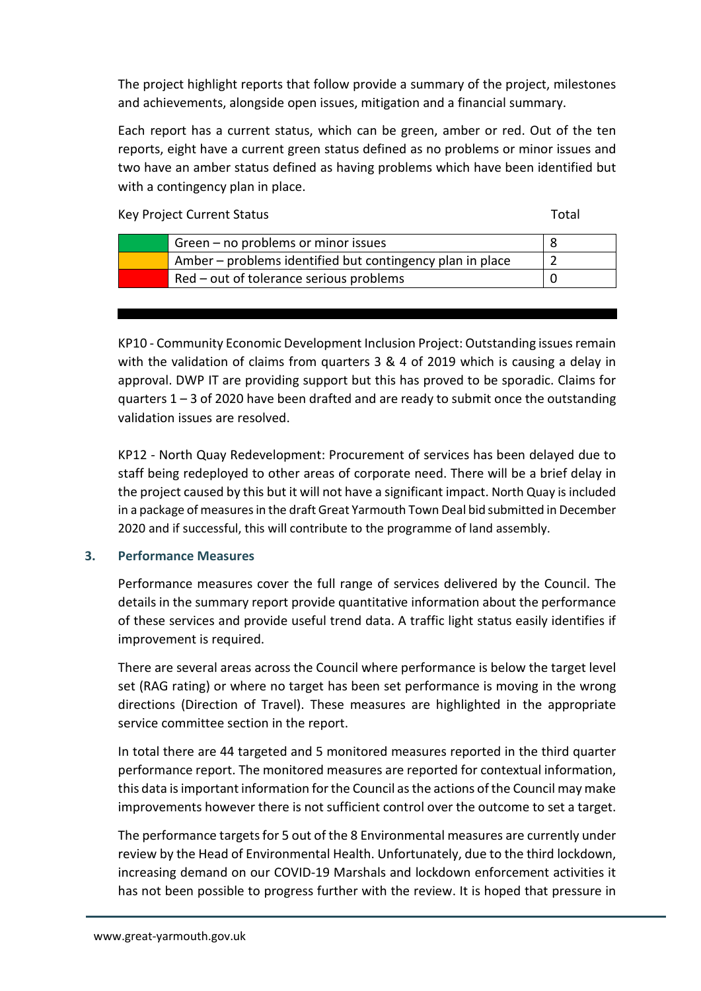The project highlight reports that follow provide a summary of the project, milestones and achievements, alongside open issues, mitigation and a financial summary.

Each report has a current status, which can be green, amber or red. Out of the ten reports, eight have a current green status defined as no problems or minor issues and two have an amber status defined as having problems which have been identified but with a contingency plan in place.

Key Project Current Status Total According to the United Status Total Total Total

| Green – no problems or minor issues                       |  |
|-----------------------------------------------------------|--|
| Amber – problems identified but contingency plan in place |  |
| Red – out of tolerance serious problems                   |  |

KP10 - Community Economic Development Inclusion Project: Outstanding issues remain with the validation of claims from quarters 3 & 4 of 2019 which is causing a delay in approval. DWP IT are providing support but this has proved to be sporadic. Claims for quarters  $1 - 3$  of 2020 have been drafted and are ready to submit once the outstanding validation issues are resolved.

KP12 - North Quay Redevelopment: Procurement of services has been delayed due to staff being redeployed to other areas of corporate need. There will be a brief delay in the project caused by this but it will not have a significant impact. North Quay is included in a package of measures in the draft Great Yarmouth Town Deal bid submitted in December 2020 and if successful, this will contribute to the programme of land assembly.

## **3. Performance Measures**

Performance measures cover the full range of services delivered by the Council. The details in the summary report provide quantitative information about the performance of these services and provide useful trend data. A traffic light status easily identifies if improvement is required.

There are several areas across the Council where performance is below the target level set (RAG rating) or where no target has been set performance is moving in the wrong directions (Direction of Travel). These measures are highlighted in the appropriate service committee section in the report.

In total there are 44 targeted and 5 monitored measures reported in the third quarter performance report. The monitored measures are reported for contextual information, this data is important information for the Council as the actions of the Council may make improvements however there is not sufficient control over the outcome to set a target.

The performance targets for 5 out of the 8 Environmental measures are currently under review by the Head of Environmental Health. Unfortunately, due to the third lockdown, increasing demand on our COVID-19 Marshals and lockdown enforcement activities it has not been possible to progress further with the review. It is hoped that pressure in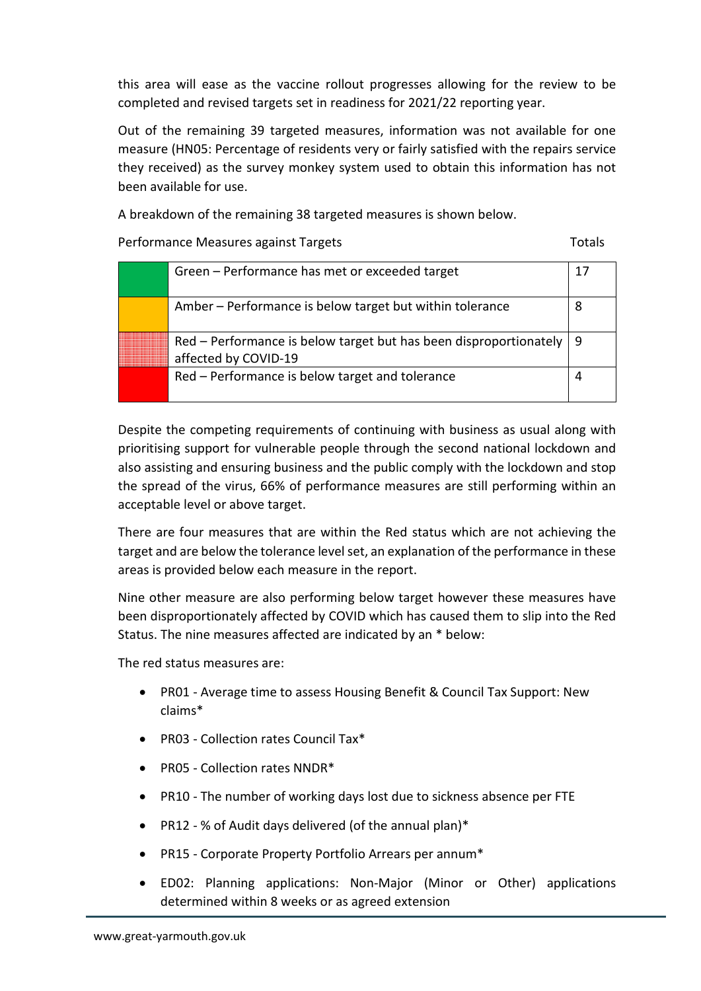this area will ease as the vaccine rollout progresses allowing for the review to be completed and revised targets set in readiness for 2021/22 reporting year.

Out of the remaining 39 targeted measures, information was not available for one measure (HN05: Percentage of residents very or fairly satisfied with the repairs service they received) as the survey monkey system used to obtain this information has not been available for use.

A breakdown of the remaining 38 targeted measures is shown below.

Performance Measures against Targets Totals Totals

| Green - Performance has met or exceeded target                                                  | Ί, |
|-------------------------------------------------------------------------------------------------|----|
| Amber – Performance is below target but within tolerance                                        |    |
| $Red$ – Performance is below target but has been disproportionately   9<br>affected by COVID-19 |    |
| Red - Performance is below target and tolerance                                                 |    |

Despite the competing requirements of continuing with business as usual along with prioritising support for vulnerable people through the second national lockdown and also assisting and ensuring business and the public comply with the lockdown and stop the spread of the virus, 66% of performance measures are still performing within an acceptable level or above target.

There are four measures that are within the Red status which are not achieving the target and are below the tolerance level set, an explanation of the performance in these areas is provided below each measure in the report.

Nine other measure are also performing below target however these measures have been disproportionately affected by COVID which has caused them to slip into the Red Status. The nine measures affected are indicated by an \* below:

The red status measures are:

- PR01 Average time to assess Housing Benefit & Council Tax Support: New claims\*
- PR03 Collection rates Council Tax\*
- PR05 Collection rates NNDR\*
- PR10 The number of working days lost due to sickness absence per FTE
- PR12 % of Audit days delivered (of the annual plan)\*
- PR15 Corporate Property Portfolio Arrears per annum\*
- ED02: Planning applications: Non-Major (Minor or Other) applications determined within 8 weeks or as agreed extension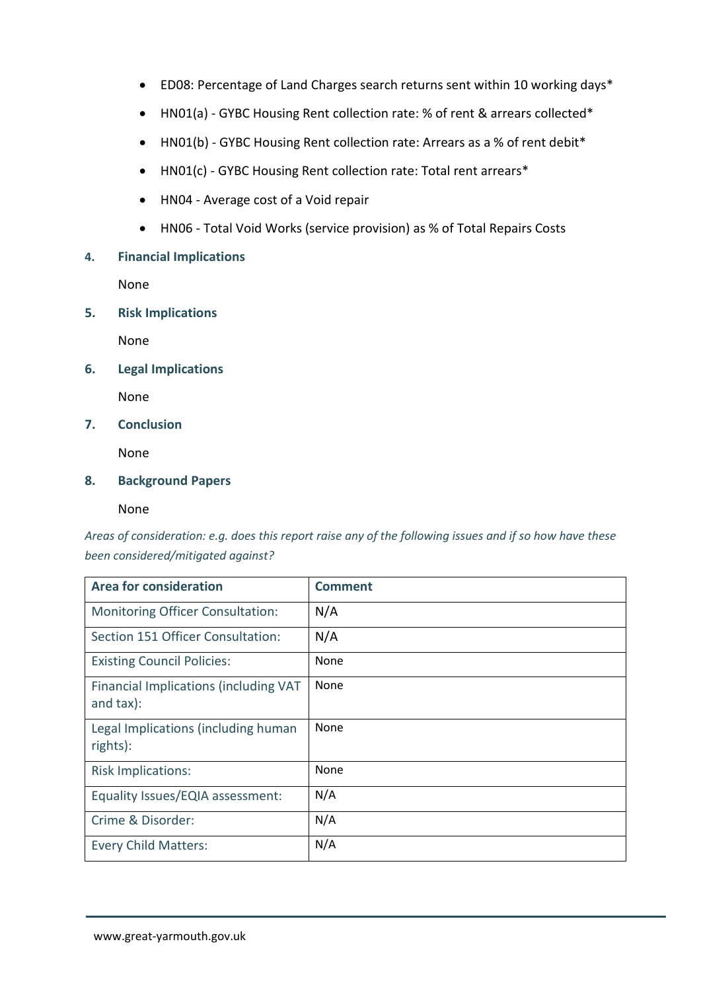- ED08: Percentage of Land Charges search returns sent within 10 working days\*
- HN01(a) GYBC Housing Rent collection rate: % of rent & arrears collected\*
- HN01(b) GYBC Housing Rent collection rate: Arrears as a % of rent debit\*
- HN01(c) GYBC Housing Rent collection rate: Total rent arrears\*
- HN04 Average cost of a Void repair
- HN06 Total Void Works (service provision) as % of Total Repairs Costs

#### **4. Financial Implications**

None

**5. Risk Implications**

None

**6. Legal Implications**

None

**7. Conclusion**

None

#### **8. Background Papers**

None

*Areas of consideration: e.g. does this report raise any of the following issues and if so how have these been considered/mitigated against?* 

| <b>Area for consideration</b>                               | <b>Comment</b> |
|-------------------------------------------------------------|----------------|
| <b>Monitoring Officer Consultation:</b>                     | N/A            |
| Section 151 Officer Consultation:                           | N/A            |
| <b>Existing Council Policies:</b>                           | None           |
| Financial Implications (including VAT<br>and $\text{tax}$ : | None           |
| Legal Implications (including human<br>rights):             | None           |
| <b>Risk Implications:</b>                                   | None           |
| Equality Issues/EQIA assessment:                            | N/A            |
| Crime & Disorder:                                           | N/A            |
| <b>Every Child Matters:</b>                                 | N/A            |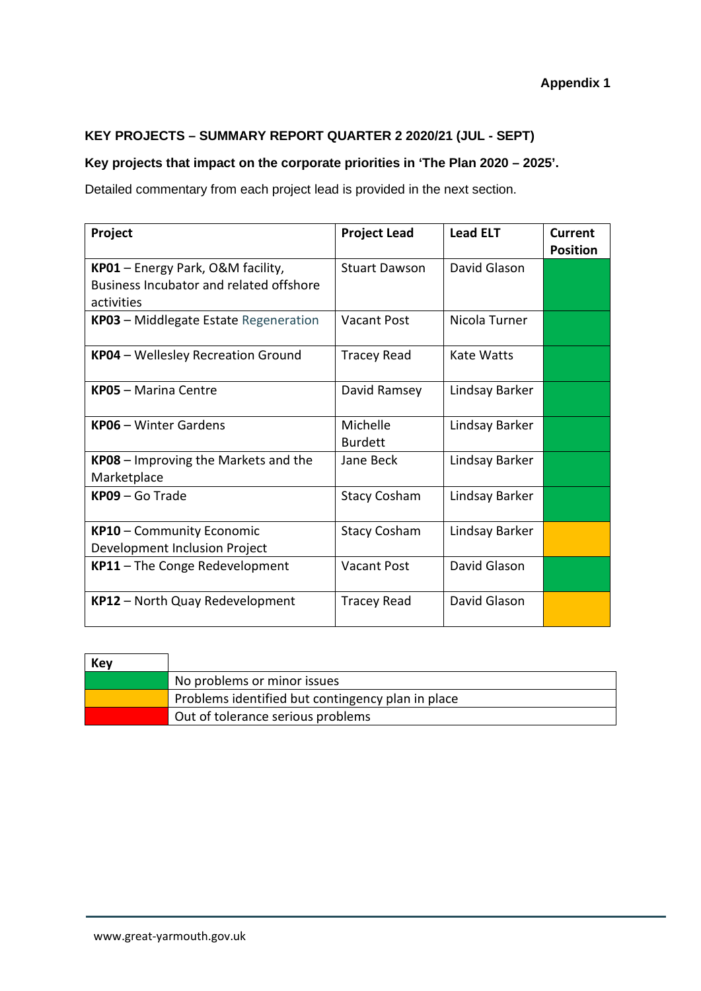## **KEY PROJECTS – SUMMARY REPORT QUARTER 2 2020/21 (JUL - SEPT)**

## **Key projects that impact on the corporate priorities in 'The Plan 2020 – 2025'.**

Detailed commentary from each project lead is provided in the next section.

| Project                                                                                    | <b>Project Lead</b>        | <b>Lead ELT</b> | Current<br><b>Position</b> |
|--------------------------------------------------------------------------------------------|----------------------------|-----------------|----------------------------|
| KP01 - Energy Park, O&M facility,<br>Business Incubator and related offshore<br>activities | <b>Stuart Dawson</b>       | David Glason    |                            |
| KP03 - Middlegate Estate Regeneration                                                      | <b>Vacant Post</b>         | Nicola Turner   |                            |
| KP04 - Wellesley Recreation Ground                                                         | <b>Tracey Read</b>         | Kate Watts      |                            |
| <b>KP05 - Marina Centre</b>                                                                | David Ramsey               | Lindsay Barker  |                            |
| <b>KP06</b> - Winter Gardens                                                               | Michelle<br><b>Burdett</b> | Lindsay Barker  |                            |
| <b>KP08</b> – Improving the Markets and the<br>Marketplace                                 | Jane Beck                  | Lindsay Barker  |                            |
| $KPO9 - Go Trade$                                                                          | <b>Stacy Cosham</b>        | Lindsay Barker  |                            |
| KP10 - Community Economic<br>Development Inclusion Project                                 | <b>Stacy Cosham</b>        | Lindsay Barker  |                            |
| KP11 - The Conge Redevelopment                                                             | <b>Vacant Post</b>         | David Glason    |                            |
| KP12 - North Quay Redevelopment                                                            | <b>Tracey Read</b>         | David Glason    |                            |

| Key |                                                   |
|-----|---------------------------------------------------|
|     | No problems or minor issues                       |
|     | Problems identified but contingency plan in place |
|     | Out of tolerance serious problems                 |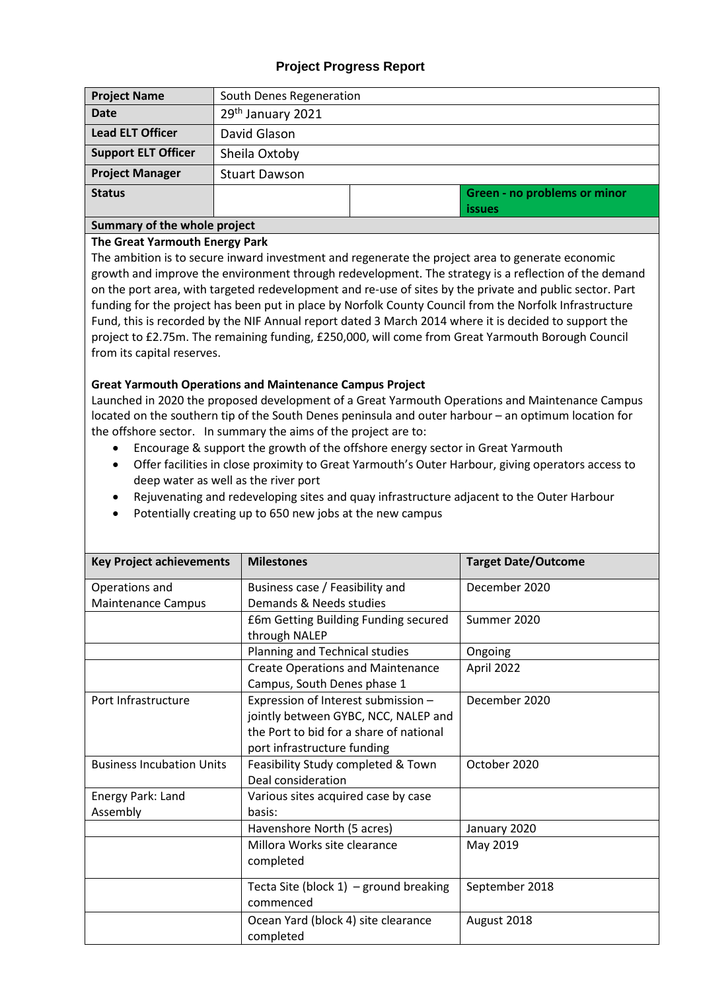## **Project Progress Report**

| <b>Project Name</b>        | South Denes Regeneration |  |                              |  |
|----------------------------|--------------------------|--|------------------------------|--|
| <b>Date</b>                | 29th January 2021        |  |                              |  |
| <b>Lead ELT Officer</b>    | David Glason             |  |                              |  |
| <b>Support ELT Officer</b> | Sheila Oxtoby            |  |                              |  |
| <b>Project Manager</b>     | <b>Stuart Dawson</b>     |  |                              |  |
| <b>Status</b>              |                          |  | Green - no problems or minor |  |
|                            |                          |  | <b>issues</b>                |  |

## **Summary of the whole project**

#### **The Great Yarmouth Energy Park**

The ambition is to secure inward investment and regenerate the project area to generate economic growth and improve the environment through redevelopment. The strategy is a reflection of the demand on the port area, with targeted redevelopment and re-use of sites by the private and public sector. Part funding for the project has been put in place by Norfolk County Council from the Norfolk Infrastructure Fund, this is recorded by the NIF Annual report dated 3 March 2014 where it is decided to support the project to £2.75m. The remaining funding, £250,000, will come from Great Yarmouth Borough Council from its capital reserves.

#### **Great Yarmouth Operations and Maintenance Campus Project**

Launched in 2020 the proposed development of a Great Yarmouth Operations and Maintenance Campus located on the southern tip of the South Denes peninsula and outer harbour – an optimum location for the offshore sector. In summary the aims of the project are to:

- Encourage & support the growth of the offshore energy sector in Great Yarmouth
- Offer facilities in close proximity to Great Yarmouth's Outer Harbour, giving operators access to deep water as well as the river port
- Rejuvenating and redeveloping sites and quay infrastructure adjacent to the Outer Harbour
- Potentially creating up to 650 new jobs at the new campus

| <b>Key Project achievements</b>  | <b>Milestones</b>                         | <b>Target Date/Outcome</b> |
|----------------------------------|-------------------------------------------|----------------------------|
| Operations and                   | Business case / Feasibility and           | December 2020              |
| <b>Maintenance Campus</b>        | Demands & Needs studies                   |                            |
|                                  | £6m Getting Building Funding secured      | Summer 2020                |
|                                  | through NALEP                             |                            |
|                                  | Planning and Technical studies            | Ongoing                    |
|                                  | <b>Create Operations and Maintenance</b>  | April 2022                 |
|                                  | Campus, South Denes phase 1               |                            |
| Port Infrastructure              | Expression of Interest submission -       | December 2020              |
|                                  | jointly between GYBC, NCC, NALEP and      |                            |
|                                  | the Port to bid for a share of national   |                            |
|                                  | port infrastructure funding               |                            |
| <b>Business Incubation Units</b> | Feasibility Study completed & Town        | October 2020               |
|                                  | Deal consideration                        |                            |
| Energy Park: Land                | Various sites acquired case by case       |                            |
| Assembly                         | basis:                                    |                            |
|                                  | Havenshore North (5 acres)                | January 2020               |
|                                  | Millora Works site clearance              | May 2019                   |
|                                  | completed                                 |                            |
|                                  | Tecta Site (block $1$ ) – ground breaking | September 2018             |
|                                  | commenced                                 |                            |
|                                  | Ocean Yard (block 4) site clearance       | August 2018                |
|                                  | completed                                 |                            |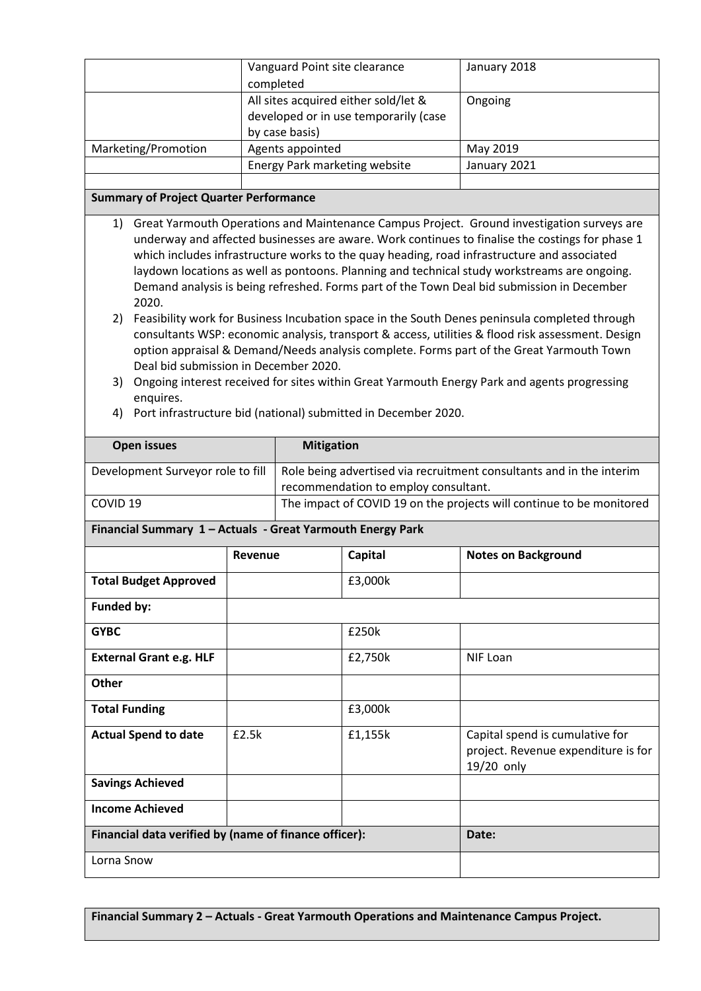|                     | Vanguard Point site clearance                                                                   | January 2018 |
|---------------------|-------------------------------------------------------------------------------------------------|--------------|
|                     | completed                                                                                       |              |
|                     | All sites acquired either sold/let &<br>developed or in use temporarily (case<br>by case basis) | Ongoing      |
| Marketing/Promotion | Agents appointed                                                                                | May 2019     |
|                     | Energy Park marketing website                                                                   | January 2021 |
|                     |                                                                                                 |              |

#### **Summary of Project Quarter Performance**

- 1) Great Yarmouth Operations and Maintenance Campus Project. Ground investigation surveys are underway and affected businesses are aware. Work continues to finalise the costings for phase 1 which includes infrastructure works to the quay heading, road infrastructure and associated laydown locations as well as pontoons. Planning and technical study workstreams are ongoing. Demand analysis is being refreshed. Forms part of the Town Deal bid submission in December 2020.
- 2) Feasibility work for Business Incubation space in the South Denes peninsula completed through consultants WSP: economic analysis, transport & access, utilities & flood risk assessment. Design option appraisal & Demand/Needs analysis complete. Forms part of the Great Yarmouth Town Deal bid submission in December 2020.
- 3) Ongoing interest received for sites within Great Yarmouth Energy Park and agents progressing enquires.
- 4) Port infrastructure bid (national) submitted in December 2020.

| <b>Open issues</b>                                         |         | <b>Mitigation</b>                                                                                            |         |                                                                                      |  |
|------------------------------------------------------------|---------|--------------------------------------------------------------------------------------------------------------|---------|--------------------------------------------------------------------------------------|--|
| Development Surveyor role to fill                          |         | Role being advertised via recruitment consultants and in the interim<br>recommendation to employ consultant. |         |                                                                                      |  |
| COVID <sub>19</sub>                                        |         |                                                                                                              |         | The impact of COVID 19 on the projects will continue to be monitored                 |  |
| Financial Summary 1 - Actuals - Great Yarmouth Energy Park |         |                                                                                                              |         |                                                                                      |  |
|                                                            | Revenue |                                                                                                              | Capital | <b>Notes on Background</b>                                                           |  |
| <b>Total Budget Approved</b>                               |         |                                                                                                              | £3,000k |                                                                                      |  |
| <b>Funded by:</b>                                          |         |                                                                                                              |         |                                                                                      |  |
| <b>GYBC</b>                                                |         |                                                                                                              | £250k   |                                                                                      |  |
| <b>External Grant e.g. HLF</b>                             |         |                                                                                                              | £2,750k | <b>NIF Loan</b>                                                                      |  |
| <b>Other</b>                                               |         |                                                                                                              |         |                                                                                      |  |
| <b>Total Funding</b>                                       |         |                                                                                                              | £3,000k |                                                                                      |  |
| <b>Actual Spend to date</b>                                | £2.5k   |                                                                                                              | £1,155k | Capital spend is cumulative for<br>project. Revenue expenditure is for<br>19/20 only |  |
| <b>Savings Achieved</b>                                    |         |                                                                                                              |         |                                                                                      |  |
| <b>Income Achieved</b>                                     |         |                                                                                                              |         |                                                                                      |  |
| Financial data verified by (name of finance officer):      |         |                                                                                                              |         | Date:                                                                                |  |
| Lorna Snow                                                 |         |                                                                                                              |         |                                                                                      |  |

**Financial Summary 2 – Actuals - Great Yarmouth Operations and Maintenance Campus Project.**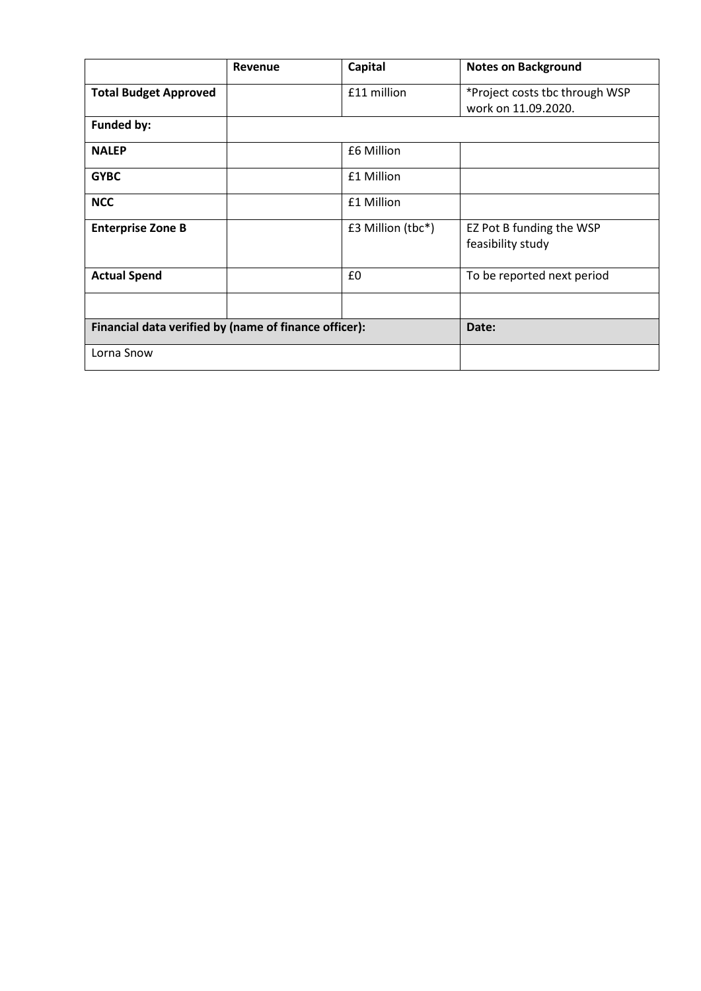|                                                       | <b>Revenue</b> | <b>Capital</b>      | <b>Notes on Background</b>                            |
|-------------------------------------------------------|----------------|---------------------|-------------------------------------------------------|
| <b>Total Budget Approved</b>                          |                | £11 million         | *Project costs tbc through WSP<br>work on 11.09.2020. |
| Funded by:                                            |                |                     |                                                       |
| <b>NALEP</b>                                          |                | £6 Million          |                                                       |
| <b>GYBC</b>                                           |                | £1 Million          |                                                       |
| <b>NCC</b>                                            |                | £1 Million          |                                                       |
| <b>Enterprise Zone B</b>                              |                | $£3$ Million (tbc*) | EZ Pot B funding the WSP<br>feasibility study         |
| <b>Actual Spend</b>                                   |                | £0                  | To be reported next period                            |
|                                                       |                |                     |                                                       |
| Financial data verified by (name of finance officer): |                |                     | Date:                                                 |
| Lorna Snow                                            |                |                     |                                                       |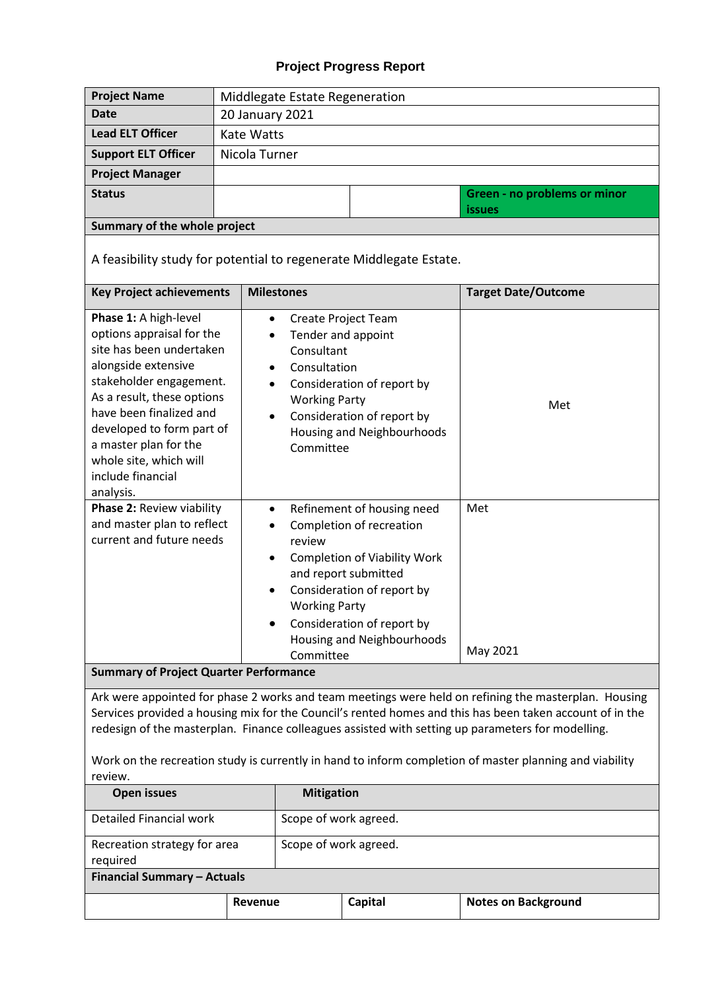# **Project Progress Report**

| <b>Project Name</b>                                                                                                                                                                                                                                                                                                                                                                                                                         | Middlegate Estate Regeneration |                                                                                                                                                                                                                                                                                          |  |                              |  |
|---------------------------------------------------------------------------------------------------------------------------------------------------------------------------------------------------------------------------------------------------------------------------------------------------------------------------------------------------------------------------------------------------------------------------------------------|--------------------------------|------------------------------------------------------------------------------------------------------------------------------------------------------------------------------------------------------------------------------------------------------------------------------------------|--|------------------------------|--|
| <b>Date</b>                                                                                                                                                                                                                                                                                                                                                                                                                                 | 20 January 2021                |                                                                                                                                                                                                                                                                                          |  |                              |  |
| <b>Lead ELT Officer</b>                                                                                                                                                                                                                                                                                                                                                                                                                     | <b>Kate Watts</b>              |                                                                                                                                                                                                                                                                                          |  |                              |  |
| <b>Support ELT Officer</b>                                                                                                                                                                                                                                                                                                                                                                                                                  | Nicola Turner                  |                                                                                                                                                                                                                                                                                          |  |                              |  |
| <b>Project Manager</b>                                                                                                                                                                                                                                                                                                                                                                                                                      |                                |                                                                                                                                                                                                                                                                                          |  |                              |  |
| <b>Status</b>                                                                                                                                                                                                                                                                                                                                                                                                                               |                                |                                                                                                                                                                                                                                                                                          |  | Green - no problems or minor |  |
|                                                                                                                                                                                                                                                                                                                                                                                                                                             |                                |                                                                                                                                                                                                                                                                                          |  | <b>issues</b>                |  |
| Summary of the whole project                                                                                                                                                                                                                                                                                                                                                                                                                |                                |                                                                                                                                                                                                                                                                                          |  |                              |  |
| A feasibility study for potential to regenerate Middlegate Estate.                                                                                                                                                                                                                                                                                                                                                                          |                                |                                                                                                                                                                                                                                                                                          |  |                              |  |
| <b>Key Project achievements</b>                                                                                                                                                                                                                                                                                                                                                                                                             |                                | <b>Milestones</b>                                                                                                                                                                                                                                                                        |  | <b>Target Date/Outcome</b>   |  |
| Phase 1: A high-level<br>options appraisal for the<br>site has been undertaken<br>alongside extensive<br>stakeholder engagement.<br>As a result, these options<br>have been finalized and<br>developed to form part of<br>a master plan for the<br>whole site, which will<br>include financial<br>analysis.                                                                                                                                 |                                | Create Project Team<br>$\bullet$<br>Tender and appoint<br>$\bullet$<br>Consultant<br>Consultation<br>$\bullet$<br>Consideration of report by<br><b>Working Party</b><br>Consideration of report by<br>$\bullet$<br>Housing and Neighbourhoods<br>Committee                               |  | Met                          |  |
| Phase 2: Review viability<br>and master plan to reflect<br>current and future needs                                                                                                                                                                                                                                                                                                                                                         |                                | Refinement of housing need<br>$\bullet$<br>Completion of recreation<br>review<br><b>Completion of Viability Work</b><br>$\bullet$<br>and report submitted<br>Consideration of report by<br><b>Working Party</b><br>Consideration of report by<br>Housing and Neighbourhoods<br>Committee |  | Met<br>May 2021              |  |
| <b>Summary of Project Quarter Performance</b>                                                                                                                                                                                                                                                                                                                                                                                               |                                |                                                                                                                                                                                                                                                                                          |  |                              |  |
| Ark were appointed for phase 2 works and team meetings were held on refining the masterplan. Housing<br>Services provided a housing mix for the Council's rented homes and this has been taken account of in the<br>redesign of the masterplan. Finance colleagues assisted with setting up parameters for modelling.<br>Work on the recreation study is currently in hand to inform completion of master planning and viability<br>review. |                                |                                                                                                                                                                                                                                                                                          |  |                              |  |

| ICVICV.                                  |         |                       |         |                            |
|------------------------------------------|---------|-----------------------|---------|----------------------------|
| <b>Open issues</b>                       |         | <b>Mitigation</b>     |         |                            |
| Detailed Financial work                  |         | Scope of work agreed. |         |                            |
| Recreation strategy for area<br>required |         | Scope of work agreed. |         |                            |
| <b>Financial Summary - Actuals</b>       |         |                       |         |                            |
|                                          | Revenue |                       | Capital | <b>Notes on Background</b> |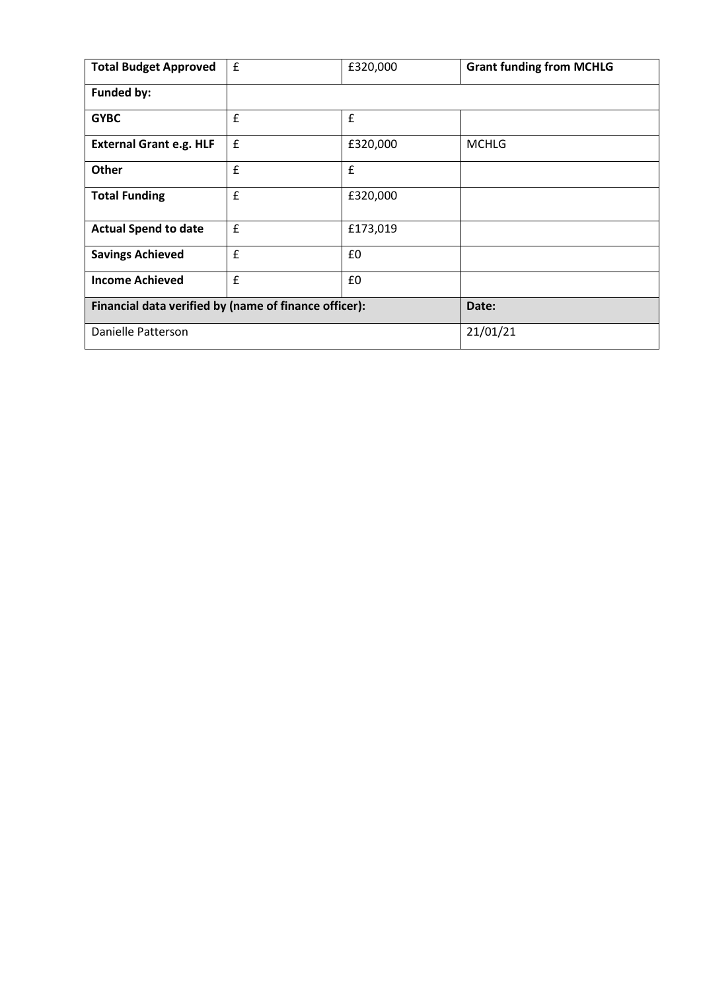| <b>Total Budget Approved</b>                          | $\pmb{\mathsf{f}}$ | £320,000 | <b>Grant funding from MCHLG</b> |
|-------------------------------------------------------|--------------------|----------|---------------------------------|
| <b>Funded by:</b>                                     |                    |          |                                 |
| <b>GYBC</b>                                           | £                  | £        |                                 |
| <b>External Grant e.g. HLF</b>                        | $\mathbf f$        | £320,000 | <b>MCHLG</b>                    |
| <b>Other</b>                                          | £                  | £        |                                 |
| <b>Total Funding</b>                                  | £                  | £320,000 |                                 |
| <b>Actual Spend to date</b>                           | $\pmb{\mathsf{f}}$ | £173,019 |                                 |
| <b>Savings Achieved</b>                               | £                  | £0       |                                 |
| <b>Income Achieved</b>                                | $\mathbf{f}$       | £0       |                                 |
| Financial data verified by (name of finance officer): |                    | Date:    |                                 |
| Danielle Patterson                                    |                    |          | 21/01/21                        |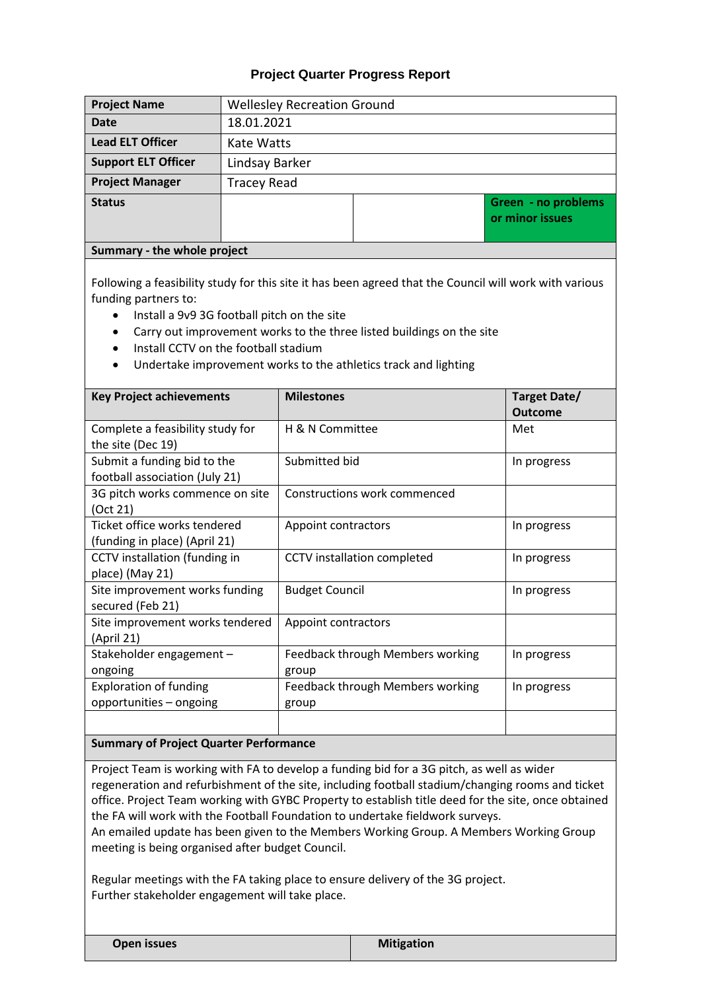### **Project Quarter Progress Report**

| <b>Project Name</b>         | <b>Wellesley Recreation Ground</b> |  |  |                                        |
|-----------------------------|------------------------------------|--|--|----------------------------------------|
| <b>Date</b>                 | 18.01.2021                         |  |  |                                        |
| <b>Lead ELT Officer</b>     | Kate Watts                         |  |  |                                        |
| <b>Support ELT Officer</b>  | Lindsay Barker                     |  |  |                                        |
| <b>Project Manager</b>      | <b>Tracey Read</b>                 |  |  |                                        |
| <b>Status</b>               |                                    |  |  | Green - no problems<br>or minor issues |
| Summary - the whole project |                                    |  |  |                                        |

Following a feasibility study for this site it has been agreed that the Council will work with various funding partners to:

- Install a 9v9 3G football pitch on the site
- Carry out improvement works to the three listed buildings on the site
- Install CCTV on the football stadium
- Undertake improvement works to the athletics track and lighting

| <b>Key Project achievements</b>                                                                        | <b>Milestones</b>                         | Target Date/<br><b>Outcome</b> |
|--------------------------------------------------------------------------------------------------------|-------------------------------------------|--------------------------------|
| Complete a feasibility study for<br>the site (Dec 19)                                                  | H & N Committee                           | Met                            |
| Submit a funding bid to the<br>football association (July 21)                                          | Submitted bid                             | In progress                    |
| 3G pitch works commence on site<br>(Oct 21)                                                            | Constructions work commenced              |                                |
| Ticket office works tendered<br>(funding in place) (April 21)                                          | Appoint contractors                       | In progress                    |
| CCTV installation (funding in<br>place) (May 21)                                                       | CCTV installation completed               | In progress                    |
| Site improvement works funding<br>secured (Feb 21)                                                     | <b>Budget Council</b>                     | In progress                    |
| Site improvement works tendered<br>(April 21)                                                          | Appoint contractors                       |                                |
| Stakeholder engagement -<br>ongoing                                                                    | Feedback through Members working<br>group | In progress                    |
| <b>Exploration of funding</b><br>opportunities - ongoing                                               | Feedback through Members working<br>group | In progress                    |
| $\mathbf{r}$ , $\mathbf{r}$ , $\mathbf{r}$ , $\mathbf{r}$ , $\mathbf{r}$ , $\mathbf{r}$ , $\mathbf{r}$ |                                           |                                |

#### **Summary of Project Quarter Performance**

Project Team is working with FA to develop a funding bid for a 3G pitch, as well as wider regeneration and refurbishment of the site, including football stadium/changing rooms and ticket office. Project Team working with GYBC Property to establish title deed for the site, once obtained the FA will work with the Football Foundation to undertake fieldwork surveys.

An emailed update has been given to the Members Working Group. A Members Working Group meeting is being organised after budget Council.

Regular meetings with the FA taking place to ensure delivery of the 3G project. Further stakeholder engagement will take place.

| <b>Open issues</b> |
|--------------------|
|                    |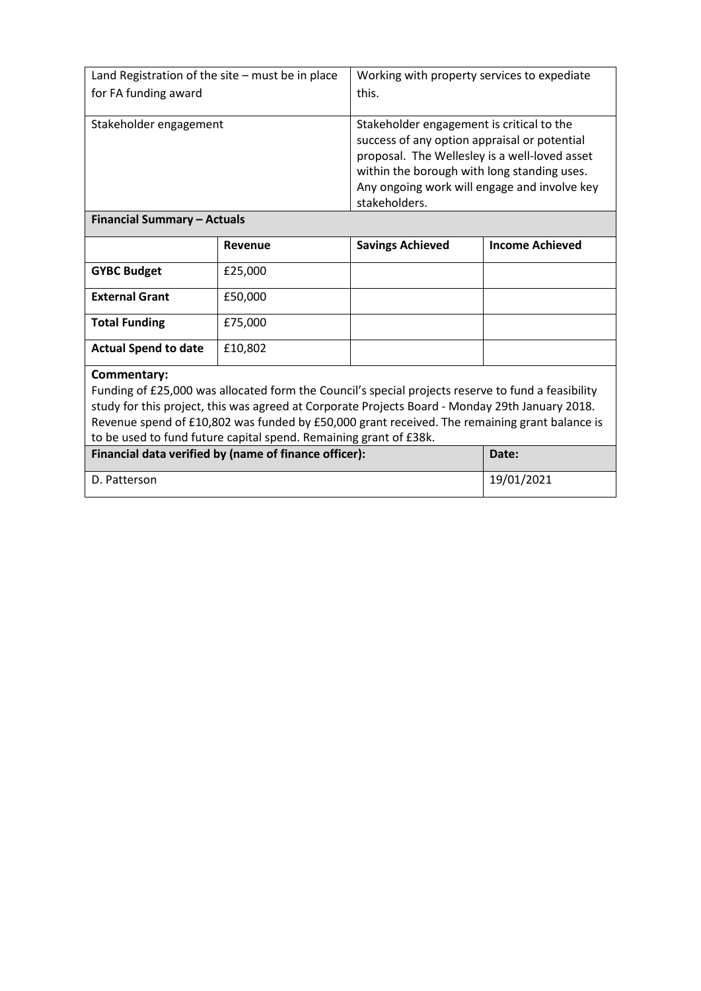| Land Registration of the site - must be in place                                                |                                                                                               | Working with property services to expediate                                                                                                                                                                                                                |                        |  |
|-------------------------------------------------------------------------------------------------|-----------------------------------------------------------------------------------------------|------------------------------------------------------------------------------------------------------------------------------------------------------------------------------------------------------------------------------------------------------------|------------------------|--|
|                                                                                                 |                                                                                               |                                                                                                                                                                                                                                                            |                        |  |
| for FA funding award                                                                            |                                                                                               | this.                                                                                                                                                                                                                                                      |                        |  |
| Stakeholder engagement                                                                          |                                                                                               | Stakeholder engagement is critical to the<br>success of any option appraisal or potential<br>proposal. The Wellesley is a well-loved asset<br>within the borough with long standing uses.<br>Any ongoing work will engage and involve key<br>stakeholders. |                        |  |
|                                                                                                 | <b>Financial Summary - Actuals</b>                                                            |                                                                                                                                                                                                                                                            |                        |  |
|                                                                                                 | Revenue                                                                                       | <b>Savings Achieved</b>                                                                                                                                                                                                                                    | <b>Income Achieved</b> |  |
| <b>GYBC Budget</b>                                                                              | £25,000                                                                                       |                                                                                                                                                                                                                                                            |                        |  |
| <b>External Grant</b>                                                                           | £50,000                                                                                       |                                                                                                                                                                                                                                                            |                        |  |
| <b>Total Funding</b>                                                                            | £75,000                                                                                       |                                                                                                                                                                                                                                                            |                        |  |
| <b>Actual Spend to date</b>                                                                     | £10,802                                                                                       |                                                                                                                                                                                                                                                            |                        |  |
| Commentary:                                                                                     |                                                                                               |                                                                                                                                                                                                                                                            |                        |  |
|                                                                                                 |                                                                                               | Funding of £25,000 was allocated form the Council's special projects reserve to fund a feasibility                                                                                                                                                         |                        |  |
| study for this project, this was agreed at Corporate Projects Board - Monday 29th January 2018. |                                                                                               |                                                                                                                                                                                                                                                            |                        |  |
|                                                                                                 | Revenue spend of £10,802 was funded by £50,000 grant received. The remaining grant balance is |                                                                                                                                                                                                                                                            |                        |  |
|                                                                                                 | to be used to fund future capital spend. Remaining grant of £38k.                             |                                                                                                                                                                                                                                                            |                        |  |
| Financial data verified by (name of finance officer):<br>Date:                                  |                                                                                               |                                                                                                                                                                                                                                                            |                        |  |

D. Patterson 19/01/2021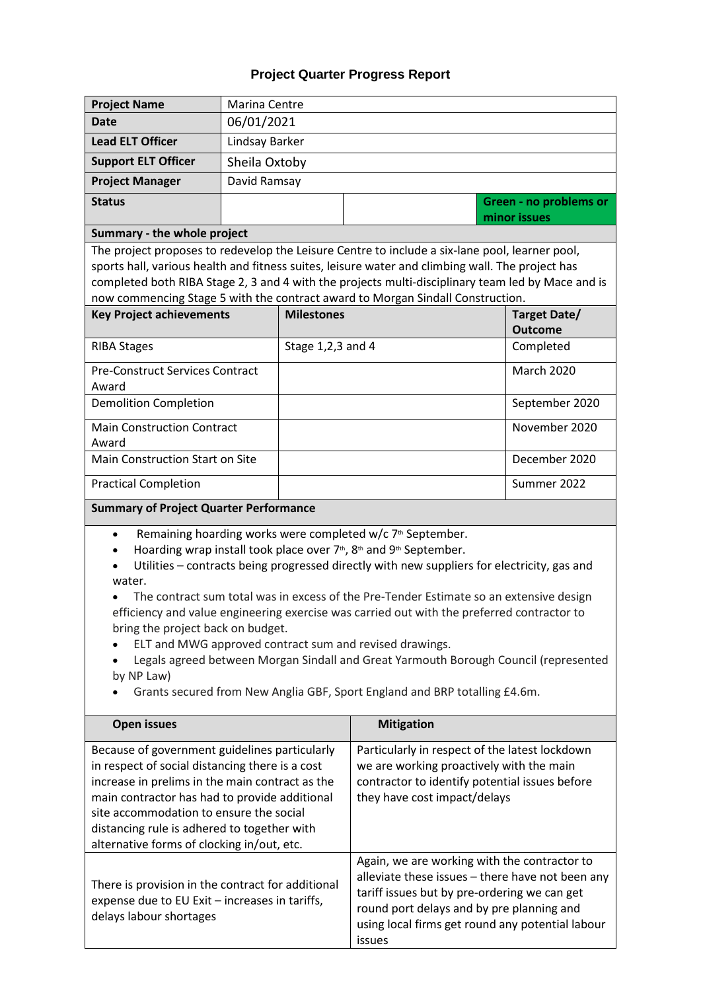# **Project Quarter Progress Report**

| <b>Project Name</b>                                                                                                                                                                                                                                                                                                                                                                                                                                                                                                                                                                                                                                                                                                                                                                             | Marina Centre                                 |                                                                                                                                                                              |                                                                                                                                                                                                                                                             |                                |
|-------------------------------------------------------------------------------------------------------------------------------------------------------------------------------------------------------------------------------------------------------------------------------------------------------------------------------------------------------------------------------------------------------------------------------------------------------------------------------------------------------------------------------------------------------------------------------------------------------------------------------------------------------------------------------------------------------------------------------------------------------------------------------------------------|-----------------------------------------------|------------------------------------------------------------------------------------------------------------------------------------------------------------------------------|-------------------------------------------------------------------------------------------------------------------------------------------------------------------------------------------------------------------------------------------------------------|--------------------------------|
| <b>Date</b>                                                                                                                                                                                                                                                                                                                                                                                                                                                                                                                                                                                                                                                                                                                                                                                     | 06/01/2021                                    |                                                                                                                                                                              |                                                                                                                                                                                                                                                             |                                |
| <b>Lead ELT Officer</b>                                                                                                                                                                                                                                                                                                                                                                                                                                                                                                                                                                                                                                                                                                                                                                         | Lindsay Barker                                |                                                                                                                                                                              |                                                                                                                                                                                                                                                             |                                |
| <b>Support ELT Officer</b>                                                                                                                                                                                                                                                                                                                                                                                                                                                                                                                                                                                                                                                                                                                                                                      | Sheila Oxtoby                                 |                                                                                                                                                                              |                                                                                                                                                                                                                                                             |                                |
| <b>Project Manager</b>                                                                                                                                                                                                                                                                                                                                                                                                                                                                                                                                                                                                                                                                                                                                                                          | David Ramsay                                  |                                                                                                                                                                              |                                                                                                                                                                                                                                                             |                                |
| <b>Status</b>                                                                                                                                                                                                                                                                                                                                                                                                                                                                                                                                                                                                                                                                                                                                                                                   |                                               |                                                                                                                                                                              |                                                                                                                                                                                                                                                             | Green - no problems or         |
|                                                                                                                                                                                                                                                                                                                                                                                                                                                                                                                                                                                                                                                                                                                                                                                                 |                                               |                                                                                                                                                                              |                                                                                                                                                                                                                                                             | minor issues                   |
| Summary - the whole project                                                                                                                                                                                                                                                                                                                                                                                                                                                                                                                                                                                                                                                                                                                                                                     |                                               |                                                                                                                                                                              |                                                                                                                                                                                                                                                             |                                |
| The project proposes to redevelop the Leisure Centre to include a six-lane pool, learner pool,<br>sports hall, various health and fitness suites, leisure water and climbing wall. The project has<br>completed both RIBA Stage 2, 3 and 4 with the projects multi-disciplinary team led by Mace and is<br>now commencing Stage 5 with the contract award to Morgan Sindall Construction.                                                                                                                                                                                                                                                                                                                                                                                                       |                                               |                                                                                                                                                                              |                                                                                                                                                                                                                                                             |                                |
| <b>Key Project achievements</b>                                                                                                                                                                                                                                                                                                                                                                                                                                                                                                                                                                                                                                                                                                                                                                 |                                               | <b>Milestones</b>                                                                                                                                                            |                                                                                                                                                                                                                                                             | Target Date/<br><b>Outcome</b> |
| <b>RIBA Stages</b>                                                                                                                                                                                                                                                                                                                                                                                                                                                                                                                                                                                                                                                                                                                                                                              |                                               | Stage 1,2,3 and 4                                                                                                                                                            |                                                                                                                                                                                                                                                             | Completed                      |
| <b>Pre-Construct Services Contract</b>                                                                                                                                                                                                                                                                                                                                                                                                                                                                                                                                                                                                                                                                                                                                                          |                                               |                                                                                                                                                                              |                                                                                                                                                                                                                                                             | <b>March 2020</b>              |
| Award                                                                                                                                                                                                                                                                                                                                                                                                                                                                                                                                                                                                                                                                                                                                                                                           |                                               |                                                                                                                                                                              |                                                                                                                                                                                                                                                             |                                |
| <b>Demolition Completion</b>                                                                                                                                                                                                                                                                                                                                                                                                                                                                                                                                                                                                                                                                                                                                                                    |                                               |                                                                                                                                                                              |                                                                                                                                                                                                                                                             | September 2020                 |
| <b>Main Construction Contract</b><br>Award                                                                                                                                                                                                                                                                                                                                                                                                                                                                                                                                                                                                                                                                                                                                                      |                                               |                                                                                                                                                                              |                                                                                                                                                                                                                                                             | November 2020                  |
| Main Construction Start on Site                                                                                                                                                                                                                                                                                                                                                                                                                                                                                                                                                                                                                                                                                                                                                                 |                                               |                                                                                                                                                                              |                                                                                                                                                                                                                                                             | December 2020                  |
| <b>Practical Completion</b>                                                                                                                                                                                                                                                                                                                                                                                                                                                                                                                                                                                                                                                                                                                                                                     |                                               |                                                                                                                                                                              |                                                                                                                                                                                                                                                             | Summer 2022                    |
|                                                                                                                                                                                                                                                                                                                                                                                                                                                                                                                                                                                                                                                                                                                                                                                                 | <b>Summary of Project Quarter Performance</b> |                                                                                                                                                                              |                                                                                                                                                                                                                                                             |                                |
| Remaining hoarding works were completed w/c 7 <sup>th</sup> September.<br>$\bullet$<br>Hoarding wrap install took place over 7 <sup>th</sup> , 8 <sup>th</sup> and 9 <sup>th</sup> September.<br>$\bullet$<br>Utilities - contracts being progressed directly with new suppliers for electricity, gas and<br>water.<br>The contract sum total was in excess of the Pre-Tender Estimate so an extensive design<br>efficiency and value engineering exercise was carried out with the preferred contractor to<br>bring the project back on budget.<br>ELT and MWG approved contract sum and revised drawings.<br>Legals agreed between Morgan Sindall and Great Yarmouth Borough Council (represented<br>by NP Law)<br>Grants secured from New Anglia GBF, Sport England and BRP totalling £4.6m. |                                               |                                                                                                                                                                              |                                                                                                                                                                                                                                                             |                                |
| <b>Open issues</b>                                                                                                                                                                                                                                                                                                                                                                                                                                                                                                                                                                                                                                                                                                                                                                              |                                               |                                                                                                                                                                              | <b>Mitigation</b>                                                                                                                                                                                                                                           |                                |
| Because of government guidelines particularly<br>in respect of social distancing there is a cost<br>increase in prelims in the main contract as the<br>main contractor has had to provide additional<br>site accommodation to ensure the social<br>distancing rule is adhered to together with<br>alternative forms of clocking in/out, etc.                                                                                                                                                                                                                                                                                                                                                                                                                                                    |                                               | Particularly in respect of the latest lockdown<br>we are working proactively with the main<br>contractor to identify potential issues before<br>they have cost impact/delays |                                                                                                                                                                                                                                                             |                                |
| There is provision in the contract for additional<br>expense due to EU Exit - increases in tariffs,<br>delays labour shortages                                                                                                                                                                                                                                                                                                                                                                                                                                                                                                                                                                                                                                                                  |                                               |                                                                                                                                                                              | Again, we are working with the contractor to<br>alleviate these issues - there have not been any<br>tariff issues but by pre-ordering we can get<br>round port delays and by pre planning and<br>using local firms get round any potential labour<br>issues |                                |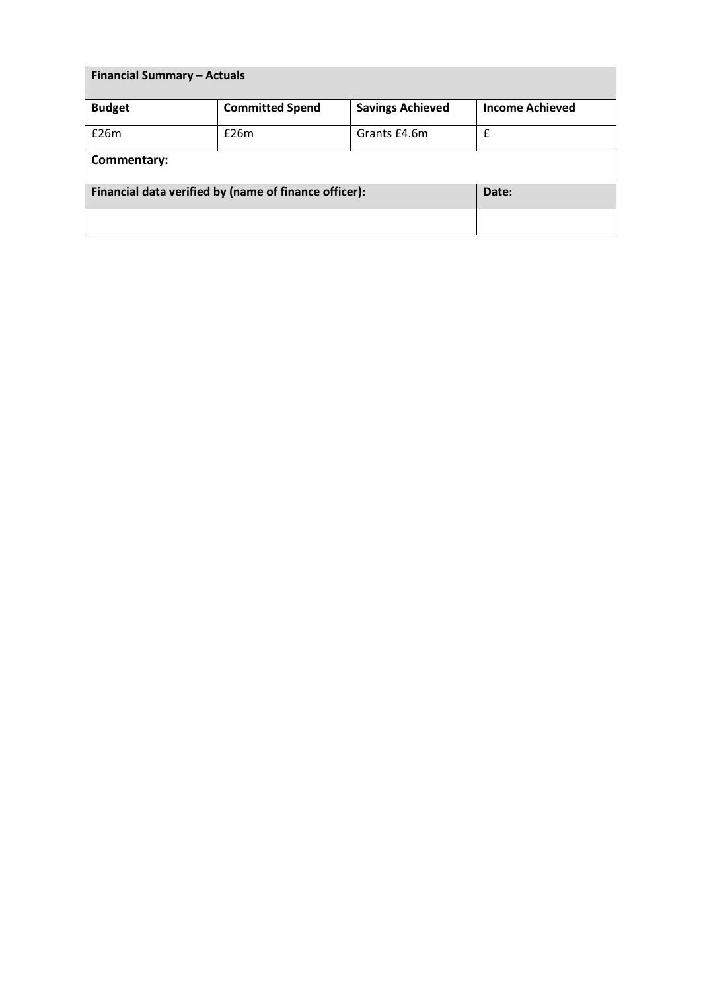| <b>Financial Summary - Actuals</b> |                                                       |                         |                        |
|------------------------------------|-------------------------------------------------------|-------------------------|------------------------|
| <b>Budget</b>                      | <b>Committed Spend</b>                                | <b>Savings Achieved</b> | <b>Income Achieved</b> |
| £26m                               | £26m                                                  | Grants £4.6m            | £                      |
| Commentary:                        |                                                       |                         |                        |
|                                    | Financial data verified by (name of finance officer): |                         | Date:                  |
|                                    |                                                       |                         |                        |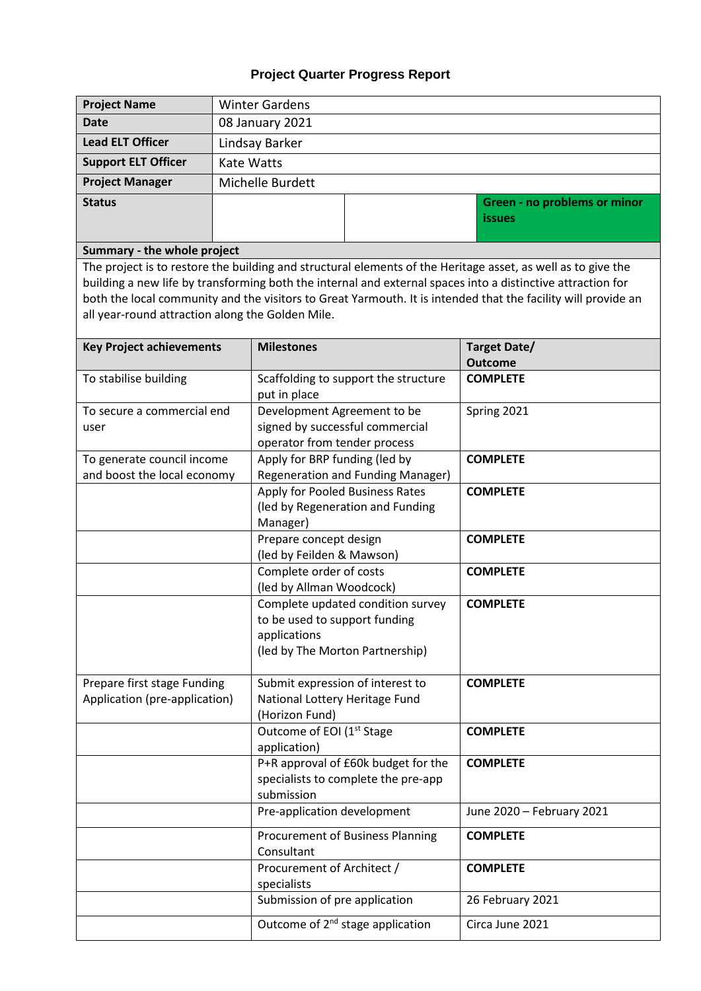# **Project Quarter Progress Report**

| <b>Project Name</b>                              | <b>Winter Gardens</b> |                                                                                                              |                                                                                                               |  |  |
|--------------------------------------------------|-----------------------|--------------------------------------------------------------------------------------------------------------|---------------------------------------------------------------------------------------------------------------|--|--|
| <b>Date</b>                                      | 08 January 2021       |                                                                                                              |                                                                                                               |  |  |
| <b>Lead ELT Officer</b>                          |                       | Lindsay Barker                                                                                               |                                                                                                               |  |  |
| <b>Support ELT Officer</b>                       |                       | <b>Kate Watts</b>                                                                                            |                                                                                                               |  |  |
| <b>Project Manager</b>                           |                       | Michelle Burdett                                                                                             |                                                                                                               |  |  |
| <b>Status</b>                                    |                       |                                                                                                              | Green - no problems or minor                                                                                  |  |  |
|                                                  |                       |                                                                                                              | <b>issues</b>                                                                                                 |  |  |
|                                                  |                       |                                                                                                              |                                                                                                               |  |  |
| Summary - the whole project                      |                       |                                                                                                              |                                                                                                               |  |  |
|                                                  |                       | The project is to restore the building and structural elements of the Heritage asset, as well as to give the |                                                                                                               |  |  |
|                                                  |                       | building a new life by transforming both the internal and external spaces into a distinctive attraction for  | both the local community and the visitors to Great Yarmouth. It is intended that the facility will provide an |  |  |
| all year-round attraction along the Golden Mile. |                       |                                                                                                              |                                                                                                               |  |  |
|                                                  |                       |                                                                                                              |                                                                                                               |  |  |
| <b>Key Project achievements</b>                  |                       | <b>Milestones</b>                                                                                            | <b>Target Date/</b>                                                                                           |  |  |
|                                                  |                       |                                                                                                              | <b>Outcome</b>                                                                                                |  |  |
| To stabilise building                            |                       | Scaffolding to support the structure                                                                         | <b>COMPLETE</b>                                                                                               |  |  |
| To secure a commercial end                       |                       | put in place<br>Development Agreement to be                                                                  | Spring 2021                                                                                                   |  |  |
| user                                             |                       | signed by successful commercial                                                                              |                                                                                                               |  |  |
|                                                  |                       | operator from tender process                                                                                 |                                                                                                               |  |  |
| To generate council income                       |                       | Apply for BRP funding (led by                                                                                | <b>COMPLETE</b>                                                                                               |  |  |
| and boost the local economy                      |                       | <b>Regeneration and Funding Manager)</b>                                                                     |                                                                                                               |  |  |
|                                                  |                       | Apply for Pooled Business Rates                                                                              | <b>COMPLETE</b>                                                                                               |  |  |
|                                                  |                       | (led by Regeneration and Funding                                                                             |                                                                                                               |  |  |
|                                                  |                       | Manager)<br>Prepare concept design                                                                           | <b>COMPLETE</b>                                                                                               |  |  |
|                                                  |                       | (led by Feilden & Mawson)                                                                                    |                                                                                                               |  |  |
|                                                  |                       | Complete order of costs                                                                                      | <b>COMPLETE</b>                                                                                               |  |  |
|                                                  |                       | (led by Allman Woodcock)                                                                                     |                                                                                                               |  |  |
|                                                  |                       | Complete updated condition survey                                                                            | <b>COMPLETE</b>                                                                                               |  |  |
|                                                  |                       | to be used to support funding                                                                                |                                                                                                               |  |  |
|                                                  |                       | applications<br>(led by The Morton Partnership)                                                              |                                                                                                               |  |  |
|                                                  |                       |                                                                                                              |                                                                                                               |  |  |
| Prepare first stage Funding                      |                       | Submit expression of interest to                                                                             | <b>COMPLETE</b>                                                                                               |  |  |
| Application (pre-application)                    |                       | National Lottery Heritage Fund                                                                               |                                                                                                               |  |  |
|                                                  |                       | (Horizon Fund)                                                                                               |                                                                                                               |  |  |
|                                                  |                       | Outcome of EOI (1 <sup>st</sup> Stage                                                                        | <b>COMPLETE</b>                                                                                               |  |  |
|                                                  |                       | application)                                                                                                 |                                                                                                               |  |  |
|                                                  |                       | P+R approval of £60k budget for the<br>specialists to complete the pre-app                                   | <b>COMPLETE</b>                                                                                               |  |  |
|                                                  |                       | submission                                                                                                   |                                                                                                               |  |  |
|                                                  |                       | Pre-application development                                                                                  | June 2020 - February 2021                                                                                     |  |  |
|                                                  |                       | Procurement of Business Planning                                                                             | <b>COMPLETE</b>                                                                                               |  |  |
|                                                  |                       | Consultant                                                                                                   |                                                                                                               |  |  |
|                                                  |                       | Procurement of Architect /                                                                                   | <b>COMPLETE</b>                                                                                               |  |  |
|                                                  |                       | specialists                                                                                                  |                                                                                                               |  |  |
|                                                  |                       | Submission of pre application                                                                                | 26 February 2021                                                                                              |  |  |
|                                                  |                       | Outcome of 2 <sup>nd</sup> stage application                                                                 | Circa June 2021                                                                                               |  |  |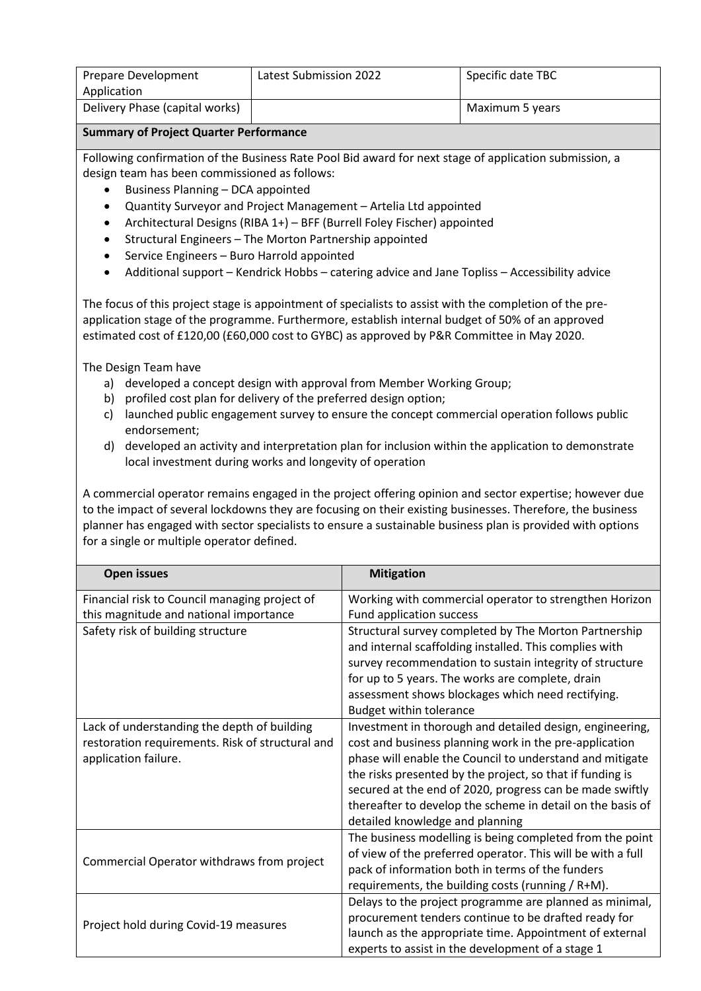| Prepare Development            | <b>Latest Submission 2022</b> | Specific date TBC |
|--------------------------------|-------------------------------|-------------------|
| Application                    |                               |                   |
| Delivery Phase (capital works) |                               | Maximum 5 years   |

#### **Summary of Project Quarter Performance**

Following confirmation of the Business Rate Pool Bid award for next stage of application submission, a design team has been commissioned as follows:

- Business Planning DCA appointed
- Quantity Surveyor and Project Management Artelia Ltd appointed
- Architectural Designs (RIBA 1+) BFF (Burrell Foley Fischer) appointed
- Structural Engineers The Morton Partnership appointed
- Service Engineers Buro Harrold appointed
- Additional support Kendrick Hobbs catering advice and Jane Topliss Accessibility advice

The focus of this project stage is appointment of specialists to assist with the completion of the preapplication stage of the programme. Furthermore, establish internal budget of 50% of an approved estimated cost of £120,00 (£60,000 cost to GYBC) as approved by P&R Committee in May 2020.

The Design Team have

- a) developed a concept design with approval from Member Working Group;
- b) profiled cost plan for delivery of the preferred design option;
- c) launched public engagement survey to ensure the concept commercial operation follows public endorsement;
- d) developed an activity and interpretation plan for inclusion within the application to demonstrate local investment during works and longevity of operation

A commercial operator remains engaged in the project offering opinion and sector expertise; however due to the impact of several lockdowns they are focusing on their existing businesses. Therefore, the business planner has engaged with sector specialists to ensure a sustainable business plan is provided with options for a single or multiple operator defined.

| <b>Open issues</b>                               | <b>Mitigation</b>                                           |
|--------------------------------------------------|-------------------------------------------------------------|
| Financial risk to Council managing project of    | Working with commercial operator to strengthen Horizon      |
| this magnitude and national importance           | Fund application success                                    |
| Safety risk of building structure                | Structural survey completed by The Morton Partnership       |
|                                                  | and internal scaffolding installed. This complies with      |
|                                                  | survey recommendation to sustain integrity of structure     |
|                                                  | for up to 5 years. The works are complete, drain            |
|                                                  | assessment shows blockages which need rectifying.           |
|                                                  | <b>Budget within tolerance</b>                              |
| Lack of understanding the depth of building      | Investment in thorough and detailed design, engineering,    |
| restoration requirements. Risk of structural and | cost and business planning work in the pre-application      |
| application failure.                             | phase will enable the Council to understand and mitigate    |
|                                                  | the risks presented by the project, so that if funding is   |
|                                                  | secured at the end of 2020, progress can be made swiftly    |
|                                                  | thereafter to develop the scheme in detail on the basis of  |
|                                                  | detailed knowledge and planning                             |
|                                                  | The business modelling is being completed from the point    |
| Commercial Operator withdraws from project       | of view of the preferred operator. This will be with a full |
|                                                  | pack of information both in terms of the funders            |
|                                                  | requirements, the building costs (running $/$ R+M).         |
|                                                  | Delays to the project programme are planned as minimal,     |
|                                                  | procurement tenders continue to be drafted ready for        |
| Project hold during Covid-19 measures            | launch as the appropriate time. Appointment of external     |
|                                                  | experts to assist in the development of a stage 1           |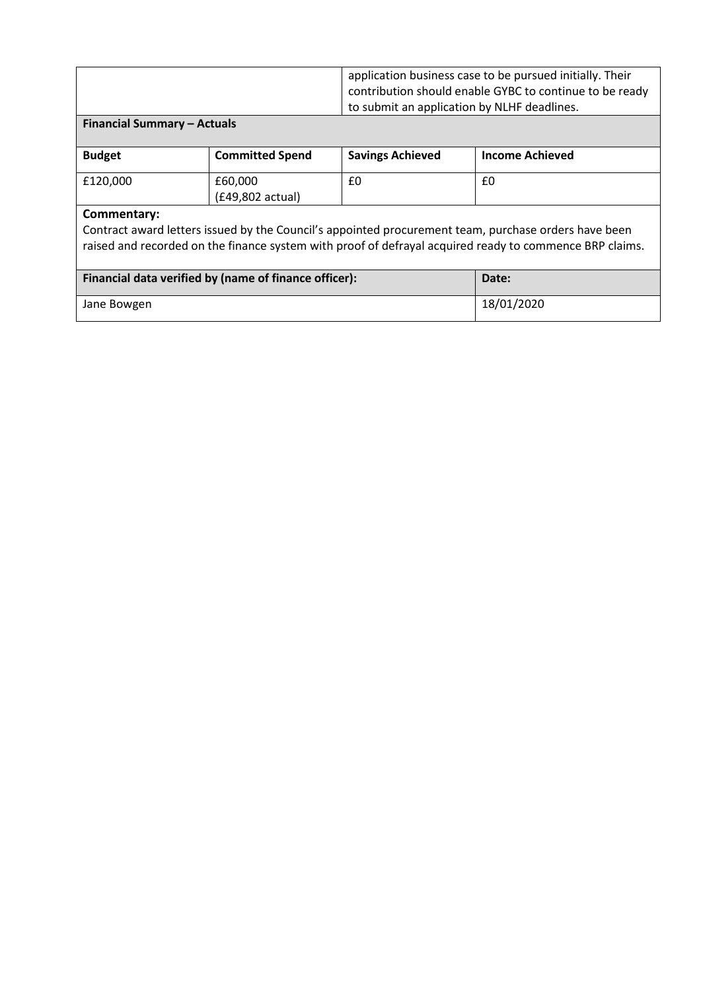| application business case to be pursued initially. Their |
|----------------------------------------------------------|
| contribution should enable GYBC to continue to be ready  |
| to submit an application by NLHF deadlines.              |

#### **Financial Summary – Actuals**

| <b>Budget</b> | <b>Committed Spend</b>      | <b>Savings Achieved</b> | <b>Income Achieved</b> |
|---------------|-----------------------------|-------------------------|------------------------|
| £120,000      | £60.000<br>(£49,802 actual) | £0                      | £0                     |

### **Commentary:**

Contract award letters issued by the Council's appointed procurement team, purchase orders have been raised and recorded on the finance system with proof of defrayal acquired ready to commence BRP claims.

| Financial data verified by (name of finance officer): | Date:      |
|-------------------------------------------------------|------------|
| Jane Bowgen                                           | 18/01/2020 |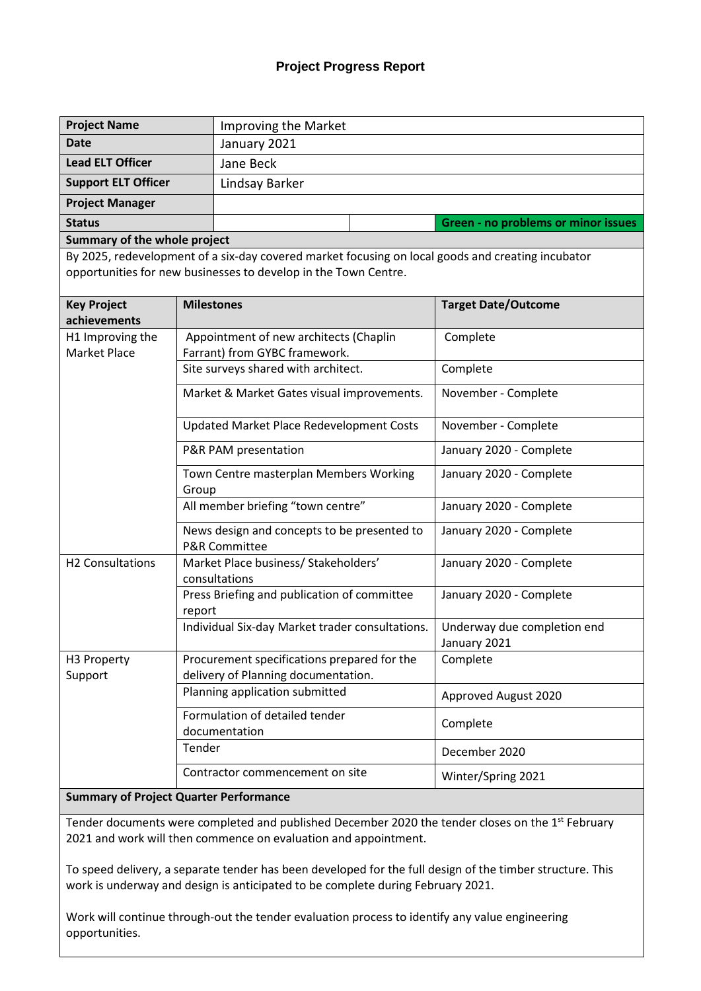## **Project Progress Report**

| <b>Project Name</b>                           |                   | Improving the Market                                                                                                                                                 |                                             |  |  |
|-----------------------------------------------|-------------------|----------------------------------------------------------------------------------------------------------------------------------------------------------------------|---------------------------------------------|--|--|
| <b>Date</b>                                   |                   | January 2021                                                                                                                                                         |                                             |  |  |
| <b>Lead ELT Officer</b>                       |                   | Jane Beck                                                                                                                                                            |                                             |  |  |
| <b>Support ELT Officer</b>                    |                   | Lindsay Barker                                                                                                                                                       |                                             |  |  |
| <b>Project Manager</b>                        |                   |                                                                                                                                                                      |                                             |  |  |
| <b>Status</b>                                 |                   |                                                                                                                                                                      | Green - no problems or minor issues         |  |  |
| Summary of the whole project                  |                   |                                                                                                                                                                      |                                             |  |  |
|                                               |                   | By 2025, redevelopment of a six-day covered market focusing on local goods and creating incubator<br>opportunities for new businesses to develop in the Town Centre. |                                             |  |  |
| <b>Key Project</b><br>achievements            | <b>Milestones</b> |                                                                                                                                                                      | <b>Target Date/Outcome</b>                  |  |  |
| H1 Improving the<br><b>Market Place</b>       |                   | Appointment of new architects (Chaplin<br>Farrant) from GYBC framework.                                                                                              | Complete                                    |  |  |
|                                               |                   | Site surveys shared with architect.                                                                                                                                  | Complete                                    |  |  |
|                                               |                   | Market & Market Gates visual improvements.                                                                                                                           | November - Complete                         |  |  |
|                                               |                   | Updated Market Place Redevelopment Costs                                                                                                                             | November - Complete                         |  |  |
|                                               |                   | P&R PAM presentation                                                                                                                                                 | January 2020 - Complete                     |  |  |
|                                               | Group             | Town Centre masterplan Members Working                                                                                                                               | January 2020 - Complete                     |  |  |
|                                               |                   | All member briefing "town centre"                                                                                                                                    | January 2020 - Complete                     |  |  |
|                                               |                   | News design and concepts to be presented to<br><b>P&amp;R Committee</b>                                                                                              | January 2020 - Complete                     |  |  |
| H2 Consultations                              |                   | Market Place business/ Stakeholders'<br>consultations                                                                                                                | January 2020 - Complete                     |  |  |
|                                               | report            | Press Briefing and publication of committee                                                                                                                          | January 2020 - Complete                     |  |  |
|                                               |                   | Individual Six-day Market trader consultations.                                                                                                                      | Underway due completion end<br>January 2021 |  |  |
| H3 Property<br>Support                        |                   | Procurement specifications prepared for the<br>delivery of Planning documentation.                                                                                   | Complete                                    |  |  |
|                                               |                   | Planning application submitted                                                                                                                                       | Approved August 2020                        |  |  |
|                                               |                   | Formulation of detailed tender<br>documentation                                                                                                                      | Complete                                    |  |  |
|                                               | Tender            |                                                                                                                                                                      | December 2020                               |  |  |
|                                               |                   | Contractor commencement on site                                                                                                                                      | Winter/Spring 2021                          |  |  |
| <b>Summary of Project Quarter Performance</b> |                   |                                                                                                                                                                      |                                             |  |  |

Tender documents were completed and published December 2020 the tender closes on the 1<sup>st</sup> February 2021 and work will then commence on evaluation and appointment.

To speed delivery, a separate tender has been developed for the full design of the timber structure. This work is underway and design is anticipated to be complete during February 2021.

Work will continue through-out the tender evaluation process to identify any value engineering opportunities.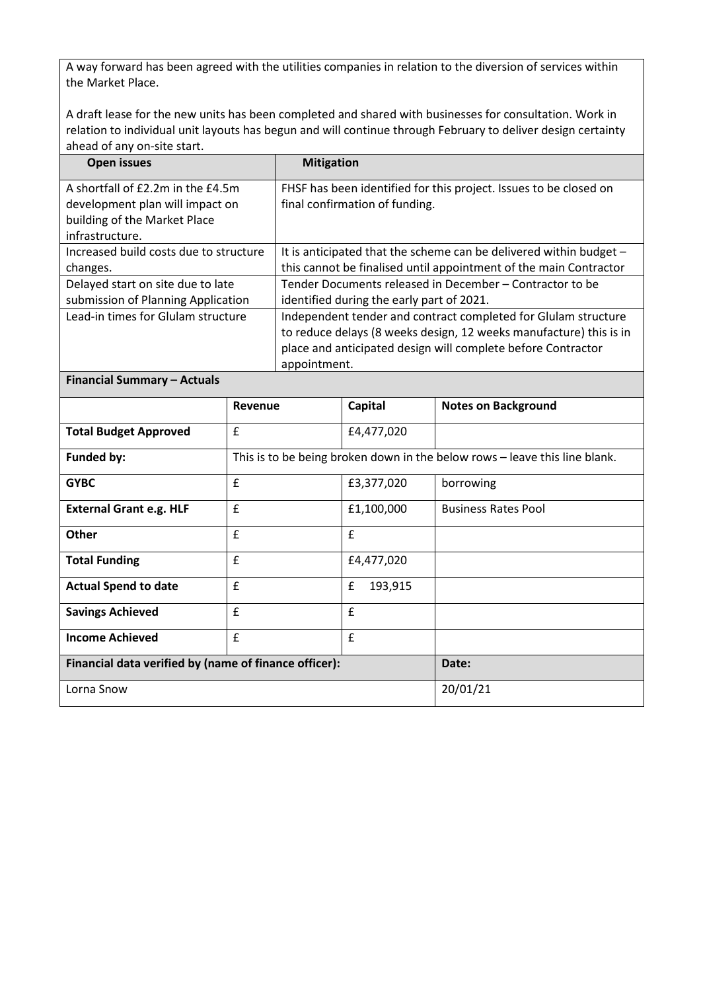A way forward has been agreed with the utilities companies in relation to the diversion of services within the Market Place.

A draft lease for the new units has been completed and shared with businesses for consultation. Work in relation to individual unit layouts has begun and will continue through February to deliver design certainty ahead of any on-site start.

| Open issues                            | <b>Mitigation</b>                                                    |  |
|----------------------------------------|----------------------------------------------------------------------|--|
| A shortfall of £2.2m in the £4.5m      | FHSF has been identified for this project. Issues to be closed on    |  |
| development plan will impact on        | final confirmation of funding.                                       |  |
| building of the Market Place           |                                                                      |  |
| infrastructure.                        |                                                                      |  |
| Increased build costs due to structure | It is anticipated that the scheme can be delivered within budget $-$ |  |
| changes.                               | this cannot be finalised until appointment of the main Contractor    |  |
| Delayed start on site due to late      | Tender Documents released in December - Contractor to be             |  |
| submission of Planning Application     | identified during the early part of 2021.                            |  |
| Lead-in times for Glulam structure     | Independent tender and contract completed for Glulam structure       |  |
|                                        | to reduce delays (8 weeks design, 12 weeks manufacture) this is in   |  |
|                                        | place and anticipated design will complete before Contractor         |  |
|                                        | appointment.                                                         |  |

**Financial Summary – Actuals**

|                                                       | Revenue                                                                    | Capital      | <b>Notes on Background</b> |
|-------------------------------------------------------|----------------------------------------------------------------------------|--------------|----------------------------|
| <b>Total Budget Approved</b>                          | £                                                                          | £4,477,020   |                            |
| <b>Funded by:</b>                                     | This is to be being broken down in the below rows - leave this line blank. |              |                            |
| <b>GYBC</b>                                           | £                                                                          | £3,377,020   | borrowing                  |
| <b>External Grant e.g. HLF</b>                        | £                                                                          | £1,100,000   | <b>Business Rates Pool</b> |
| <b>Other</b>                                          | £                                                                          | £            |                            |
| <b>Total Funding</b>                                  | £                                                                          | £4,477,020   |                            |
| <b>Actual Spend to date</b>                           | £                                                                          | £<br>193,915 |                            |
| <b>Savings Achieved</b>                               | £                                                                          | £            |                            |
| <b>Income Achieved</b>                                | £                                                                          | £            |                            |
| Financial data verified by (name of finance officer): |                                                                            |              | Date:                      |
| Lorna Snow                                            |                                                                            |              | 20/01/21                   |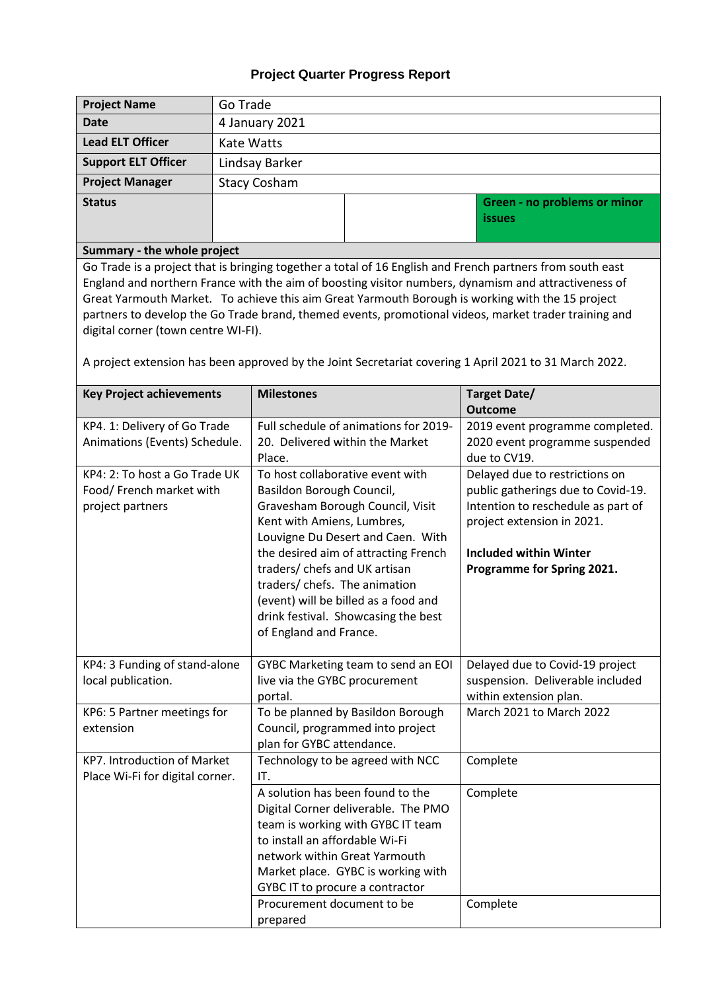# **Project Quarter Progress Report**

| <b>Project Name</b>                                                                                                                                                                                                                                                                                                                                                                                                                                                                                                                                                             | Go Trade                                                      |                                                                                                                                                                                                                                                                                                                                                                                         |                                                                                                              |                                                                                                                                                                                                         |
|---------------------------------------------------------------------------------------------------------------------------------------------------------------------------------------------------------------------------------------------------------------------------------------------------------------------------------------------------------------------------------------------------------------------------------------------------------------------------------------------------------------------------------------------------------------------------------|---------------------------------------------------------------|-----------------------------------------------------------------------------------------------------------------------------------------------------------------------------------------------------------------------------------------------------------------------------------------------------------------------------------------------------------------------------------------|--------------------------------------------------------------------------------------------------------------|---------------------------------------------------------------------------------------------------------------------------------------------------------------------------------------------------------|
| <b>Date</b>                                                                                                                                                                                                                                                                                                                                                                                                                                                                                                                                                                     | 4 January 2021                                                |                                                                                                                                                                                                                                                                                                                                                                                         |                                                                                                              |                                                                                                                                                                                                         |
| <b>Lead ELT Officer</b>                                                                                                                                                                                                                                                                                                                                                                                                                                                                                                                                                         | <b>Kate Watts</b>                                             |                                                                                                                                                                                                                                                                                                                                                                                         |                                                                                                              |                                                                                                                                                                                                         |
| <b>Support ELT Officer</b>                                                                                                                                                                                                                                                                                                                                                                                                                                                                                                                                                      | Lindsay Barker                                                |                                                                                                                                                                                                                                                                                                                                                                                         |                                                                                                              |                                                                                                                                                                                                         |
| <b>Project Manager</b>                                                                                                                                                                                                                                                                                                                                                                                                                                                                                                                                                          | <b>Stacy Cosham</b>                                           |                                                                                                                                                                                                                                                                                                                                                                                         |                                                                                                              |                                                                                                                                                                                                         |
| <b>Status</b>                                                                                                                                                                                                                                                                                                                                                                                                                                                                                                                                                                   |                                                               |                                                                                                                                                                                                                                                                                                                                                                                         |                                                                                                              | Green - no problems or minor<br><i>issues</i>                                                                                                                                                           |
| Summary - the whole project                                                                                                                                                                                                                                                                                                                                                                                                                                                                                                                                                     |                                                               |                                                                                                                                                                                                                                                                                                                                                                                         |                                                                                                              |                                                                                                                                                                                                         |
| Go Trade is a project that is bringing together a total of 16 English and French partners from south east<br>England and northern France with the aim of boosting visitor numbers, dynamism and attractiveness of<br>Great Yarmouth Market. To achieve this aim Great Yarmouth Borough is working with the 15 project<br>partners to develop the Go Trade brand, themed events, promotional videos, market trader training and<br>digital corner (town centre WI-FI).<br>A project extension has been approved by the Joint Secretariat covering 1 April 2021 to 31 March 2022. |                                                               |                                                                                                                                                                                                                                                                                                                                                                                         |                                                                                                              |                                                                                                                                                                                                         |
| <b>Key Project achievements</b>                                                                                                                                                                                                                                                                                                                                                                                                                                                                                                                                                 | <b>Target Date/</b><br><b>Milestones</b>                      |                                                                                                                                                                                                                                                                                                                                                                                         |                                                                                                              | <b>Outcome</b>                                                                                                                                                                                          |
| KP4. 1: Delivery of Go Trade<br>Animations (Events) Schedule.                                                                                                                                                                                                                                                                                                                                                                                                                                                                                                                   | 20. Delivered within the Market<br>Place.                     |                                                                                                                                                                                                                                                                                                                                                                                         | Full schedule of animations for 2019-                                                                        | 2019 event programme completed.<br>2020 event programme suspended<br>due to CV19.                                                                                                                       |
| KP4: 2: To host a Go Trade UK<br>Food/ French market with<br>project partners                                                                                                                                                                                                                                                                                                                                                                                                                                                                                                   |                                                               | To host collaborative event with<br>Basildon Borough Council,<br>Gravesham Borough Council, Visit<br>Kent with Amiens, Lumbres,<br>Louvigne Du Desert and Caen. With<br>the desired aim of attracting French<br>traders/ chefs and UK artisan<br>traders/ chefs. The animation<br>(event) will be billed as a food and<br>drink festival. Showcasing the best<br>of England and France. |                                                                                                              | Delayed due to restrictions on<br>public gatherings due to Covid-19.<br>Intention to reschedule as part of<br>project extension in 2021.<br><b>Included within Winter</b><br>Programme for Spring 2021. |
| KP4: 3 Funding of stand-alone<br>local publication.                                                                                                                                                                                                                                                                                                                                                                                                                                                                                                                             |                                                               | GYBC Marketing team to send an EOI<br>live via the GYBC procurement<br>portal.                                                                                                                                                                                                                                                                                                          |                                                                                                              | Delayed due to Covid-19 project<br>suspension. Deliverable included<br>within extension plan.                                                                                                           |
| KP6: 5 Partner meetings for                                                                                                                                                                                                                                                                                                                                                                                                                                                                                                                                                     |                                                               |                                                                                                                                                                                                                                                                                                                                                                                         | To be planned by Basildon Borough                                                                            | March 2021 to March 2022                                                                                                                                                                                |
| extension                                                                                                                                                                                                                                                                                                                                                                                                                                                                                                                                                                       | Council, programmed into project<br>plan for GYBC attendance. |                                                                                                                                                                                                                                                                                                                                                                                         |                                                                                                              |                                                                                                                                                                                                         |
| KP7. Introduction of Market<br>Place Wi-Fi for digital corner.                                                                                                                                                                                                                                                                                                                                                                                                                                                                                                                  |                                                               | IT.<br>A solution has been found to the<br>to install an affordable Wi-Fi                                                                                                                                                                                                                                                                                                               | Technology to be agreed with NCC<br>Digital Corner deliverable. The PMO<br>team is working with GYBC IT team | Complete<br>Complete                                                                                                                                                                                    |
|                                                                                                                                                                                                                                                                                                                                                                                                                                                                                                                                                                                 |                                                               | network within Great Yarmouth                                                                                                                                                                                                                                                                                                                                                           | Market place. GYBC is working with                                                                           |                                                                                                                                                                                                         |

GYBC IT to procure a contractor

Complete

Procurement document to be

prepared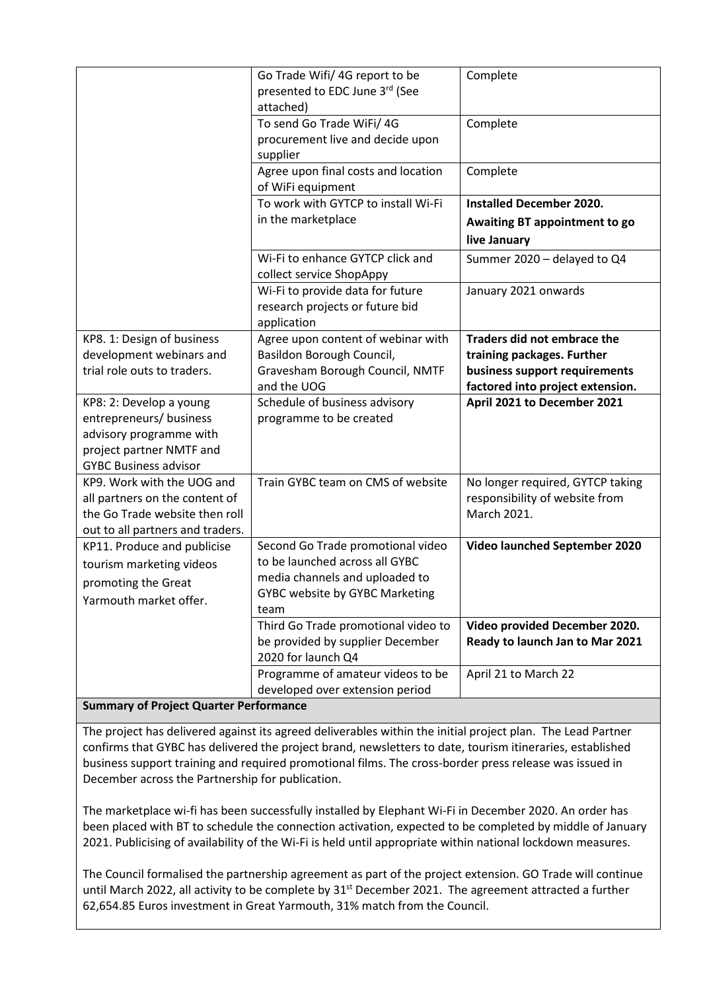|                                                                                                                                           | Go Trade Wifi/ 4G report to be<br>presented to EDC June 3rd (See<br>attached)                                                                   | Complete                                                                                                                       |
|-------------------------------------------------------------------------------------------------------------------------------------------|-------------------------------------------------------------------------------------------------------------------------------------------------|--------------------------------------------------------------------------------------------------------------------------------|
|                                                                                                                                           | To send Go Trade WiFi/ 4G<br>procurement live and decide upon<br>supplier                                                                       | Complete                                                                                                                       |
|                                                                                                                                           | Agree upon final costs and location<br>of WiFi equipment                                                                                        | Complete                                                                                                                       |
|                                                                                                                                           | To work with GYTCP to install Wi-Fi<br>in the marketplace                                                                                       | <b>Installed December 2020.</b><br>Awaiting BT appointment to go<br>live January                                               |
|                                                                                                                                           | Wi-Fi to enhance GYTCP click and<br>collect service ShopAppy                                                                                    | Summer 2020 - delayed to Q4                                                                                                    |
|                                                                                                                                           | Wi-Fi to provide data for future<br>research projects or future bid<br>application                                                              | January 2021 onwards                                                                                                           |
| KP8. 1: Design of business<br>development webinars and<br>trial role outs to traders.                                                     | Agree upon content of webinar with<br>Basildon Borough Council,<br>Gravesham Borough Council, NMTF<br>and the UOG                               | Traders did not embrace the<br>training packages. Further<br>business support requirements<br>factored into project extension. |
| KP8: 2: Develop a young<br>entrepreneurs/ business<br>advisory programme with<br>project partner NMTF and<br><b>GYBC Business advisor</b> | Schedule of business advisory<br>programme to be created                                                                                        | April 2021 to December 2021                                                                                                    |
| KP9. Work with the UOG and<br>all partners on the content of<br>the Go Trade website then roll<br>out to all partners and traders.        | Train GYBC team on CMS of website                                                                                                               | No longer required, GYTCP taking<br>responsibility of website from<br>March 2021.                                              |
| KP11. Produce and publicise<br>tourism marketing videos<br>promoting the Great<br>Yarmouth market offer.                                  | Second Go Trade promotional video<br>to be launched across all GYBC<br>media channels and uploaded to<br>GYBC website by GYBC Marketing<br>team | <b>Video launched September 2020</b>                                                                                           |
|                                                                                                                                           | Third Go Trade promotional video to<br>be provided by supplier December<br>2020 for launch Q4                                                   | Video provided December 2020.<br>Ready to launch Jan to Mar 2021                                                               |
|                                                                                                                                           | Programme of amateur videos to be<br>developed over extension period                                                                            | April 21 to March 22                                                                                                           |

#### **Summary of Project Quarter Performance**

The project has delivered against its agreed deliverables within the initial project plan. The Lead Partner confirms that GYBC has delivered the project brand, newsletters to date, tourism itineraries, established business support training and required promotional films. The cross-border press release was issued in December across the Partnership for publication.

The marketplace wi-fi has been successfully installed by Elephant Wi-Fi in December 2020. An order has been placed with BT to schedule the connection activation, expected to be completed by middle of January 2021. Publicising of availability of the Wi-Fi is held until appropriate within national lockdown measures.

The Council formalised the partnership agreement as part of the project extension. GO Trade will continue until March 2022, all activity to be complete by 31<sup>st</sup> December 2021. The agreement attracted a further 62,654.85 Euros investment in Great Yarmouth, 31% match from the Council.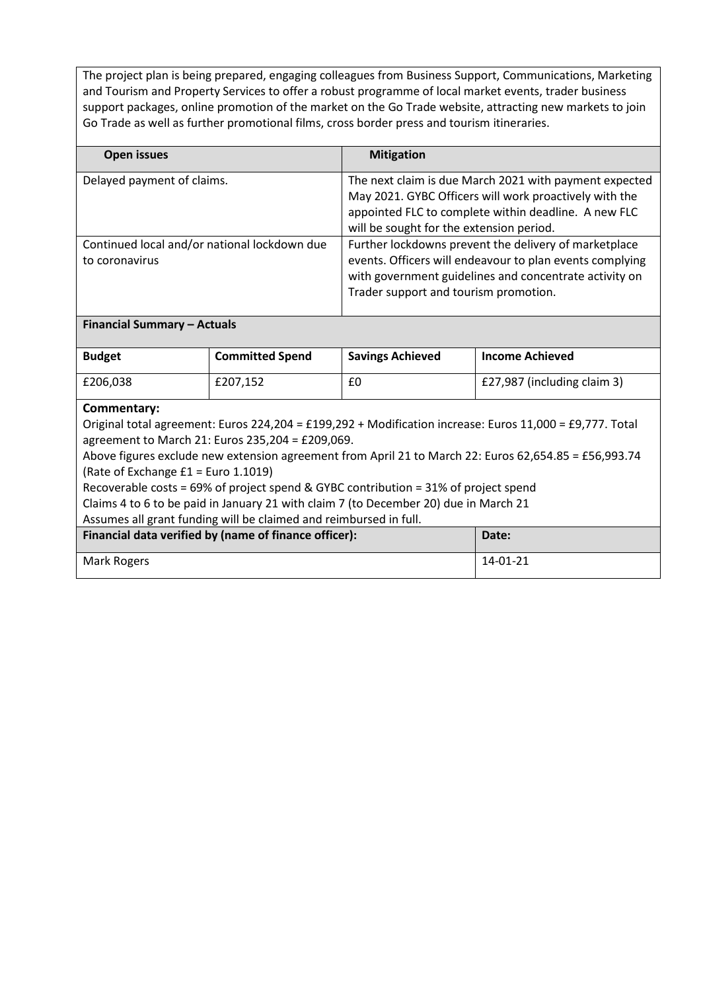The project plan is being prepared, engaging colleagues from Business Support, Communications, Marketing and Tourism and Property Services to offer a robust programme of local market events, trader business support packages, online promotion of the market on the Go Trade website, attracting new markets to join Go Trade as well as further promotional films, cross border press and tourism itineraries.

| Open issues                                                    | <b>Mitigation</b>                                                                                                                                                                                                    |
|----------------------------------------------------------------|----------------------------------------------------------------------------------------------------------------------------------------------------------------------------------------------------------------------|
| Delayed payment of claims.                                     | The next claim is due March 2021 with payment expected<br>May 2021. GYBC Officers will work proactively with the<br>appointed FLC to complete within deadline. A new FLC<br>will be sought for the extension period. |
| Continued local and/or national lockdown due<br>to coronavirus | Further lockdowns prevent the delivery of marketplace<br>events. Officers will endeavour to plan events complying<br>with government guidelines and concentrate activity on<br>Trader support and tourism promotion. |

#### **Financial Summary – Actuals**

| <b>Budget</b> | <b>Committed Spend</b> | <b>Savings Achieved</b> | <b>Income Achieved</b>      |
|---------------|------------------------|-------------------------|-----------------------------|
| £206.038      | £207.152               | £0                      | £27,987 (including claim 3) |

#### **Commentary:**

Original total agreement: Euros 224,204 = £199,292 + Modification increase: Euros 11,000 = £9,777. Total agreement to March 21: Euros 235,204 = £209,069.

Above figures exclude new extension agreement from April 21 to March 22: Euros 62,654.85 = £56,993.74 (Rate of Exchange £1 = Euro 1.1019)

Recoverable costs = 69% of project spend & GYBC contribution = 31% of project spend

Claims 4 to 6 to be paid in January 21 with claim 7 (to December 20) due in March 21

Assumes all grant funding will be claimed and reimbursed in full.

| Financial data verified by (name of finance officer): | Date:    |
|-------------------------------------------------------|----------|
| Mark Rogers                                           | 14-01-21 |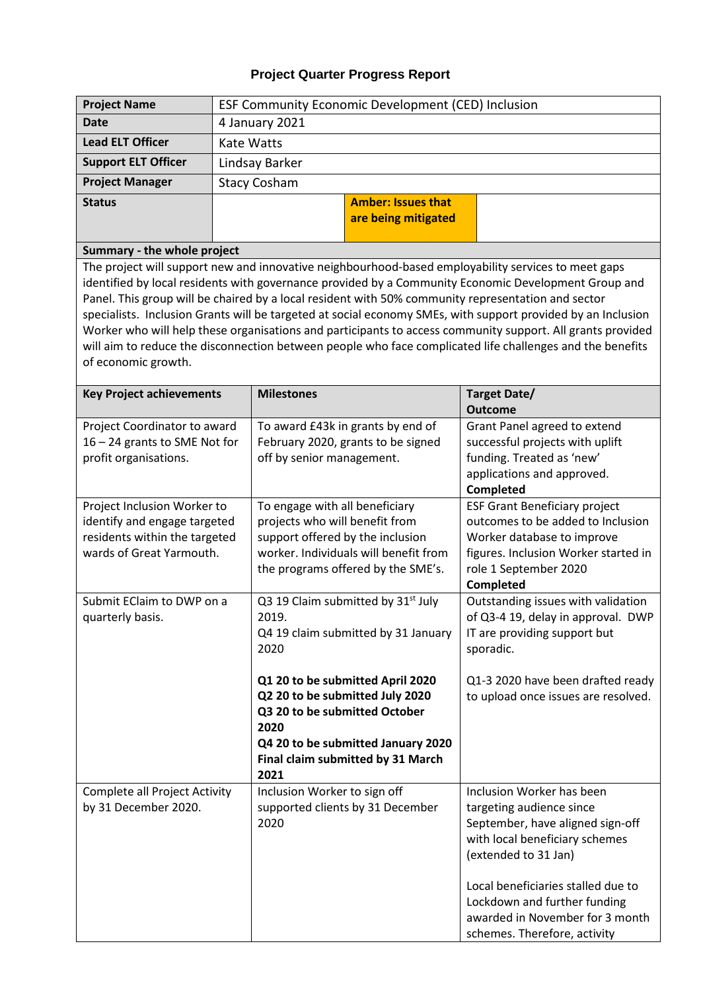# **Project Quarter Progress Report**

| <b>Project Name</b>                                                                                                                                                                                                                                                                                                                                                                                                                                                                                                                                                                                                                                                                                                | ESF Community Economic Development (CED) Inclusion                                         |                                                                                                                                                                                                                                                                                       |                                                                         |                                                                                                                                                                                                                                                                                                   |
|--------------------------------------------------------------------------------------------------------------------------------------------------------------------------------------------------------------------------------------------------------------------------------------------------------------------------------------------------------------------------------------------------------------------------------------------------------------------------------------------------------------------------------------------------------------------------------------------------------------------------------------------------------------------------------------------------------------------|--------------------------------------------------------------------------------------------|---------------------------------------------------------------------------------------------------------------------------------------------------------------------------------------------------------------------------------------------------------------------------------------|-------------------------------------------------------------------------|---------------------------------------------------------------------------------------------------------------------------------------------------------------------------------------------------------------------------------------------------------------------------------------------------|
| <b>Date</b>                                                                                                                                                                                                                                                                                                                                                                                                                                                                                                                                                                                                                                                                                                        | 4 January 2021                                                                             |                                                                                                                                                                                                                                                                                       |                                                                         |                                                                                                                                                                                                                                                                                                   |
| <b>Lead ELT Officer</b>                                                                                                                                                                                                                                                                                                                                                                                                                                                                                                                                                                                                                                                                                            | <b>Kate Watts</b>                                                                          |                                                                                                                                                                                                                                                                                       |                                                                         |                                                                                                                                                                                                                                                                                                   |
| <b>Support ELT Officer</b>                                                                                                                                                                                                                                                                                                                                                                                                                                                                                                                                                                                                                                                                                         | Lindsay Barker                                                                             |                                                                                                                                                                                                                                                                                       |                                                                         |                                                                                                                                                                                                                                                                                                   |
| <b>Project Manager</b>                                                                                                                                                                                                                                                                                                                                                                                                                                                                                                                                                                                                                                                                                             | <b>Stacy Cosham</b>                                                                        |                                                                                                                                                                                                                                                                                       |                                                                         |                                                                                                                                                                                                                                                                                                   |
| <b>Status</b>                                                                                                                                                                                                                                                                                                                                                                                                                                                                                                                                                                                                                                                                                                      |                                                                                            |                                                                                                                                                                                                                                                                                       | <b>Amber: Issues that</b>                                               |                                                                                                                                                                                                                                                                                                   |
|                                                                                                                                                                                                                                                                                                                                                                                                                                                                                                                                                                                                                                                                                                                    |                                                                                            |                                                                                                                                                                                                                                                                                       | are being mitigated                                                     |                                                                                                                                                                                                                                                                                                   |
|                                                                                                                                                                                                                                                                                                                                                                                                                                                                                                                                                                                                                                                                                                                    |                                                                                            |                                                                                                                                                                                                                                                                                       |                                                                         |                                                                                                                                                                                                                                                                                                   |
| Summary - the whole project<br>The project will support new and innovative neighbourhood-based employability services to meet gaps<br>identified by local residents with governance provided by a Community Economic Development Group and<br>Panel. This group will be chaired by a local resident with 50% community representation and sector<br>specialists. Inclusion Grants will be targeted at social economy SMEs, with support provided by an Inclusion<br>Worker who will help these organisations and participants to access community support. All grants provided<br>will aim to reduce the disconnection between people who face complicated life challenges and the benefits<br>of economic growth. |                                                                                            |                                                                                                                                                                                                                                                                                       |                                                                         |                                                                                                                                                                                                                                                                                                   |
| <b>Key Project achievements</b>                                                                                                                                                                                                                                                                                                                                                                                                                                                                                                                                                                                                                                                                                    |                                                                                            | <b>Milestones</b>                                                                                                                                                                                                                                                                     |                                                                         | Target Date/                                                                                                                                                                                                                                                                                      |
| profit organisations.                                                                                                                                                                                                                                                                                                                                                                                                                                                                                                                                                                                                                                                                                              | Project Coordinator to award<br>16 - 24 grants to SME Not for<br>off by senior management. |                                                                                                                                                                                                                                                                                       | To award £43k in grants by end of<br>February 2020, grants to be signed | <b>Outcome</b><br>Grant Panel agreed to extend<br>successful projects with uplift<br>funding. Treated as 'new'<br>applications and approved.<br>Completed                                                                                                                                         |
| Project Inclusion Worker to<br>identify and engage targeted<br>residents within the targeted<br>wards of Great Yarmouth.<br>Submit EClaim to DWP on a<br>quarterly basis.                                                                                                                                                                                                                                                                                                                                                                                                                                                                                                                                          |                                                                                            | To engage with all beneficiary<br>projects who will benefit from<br>support offered by the inclusion<br>worker. Individuals will benefit from<br>the programs offered by the SME's.<br>Q3 19 Claim submitted by 31 <sup>st</sup> July<br>2019.<br>Q4 19 claim submitted by 31 January |                                                                         | <b>ESF Grant Beneficiary project</b><br>outcomes to be added to Inclusion<br>Worker database to improve<br>figures. Inclusion Worker started in<br>role 1 September 2020<br>Completed<br>Outstanding issues with validation<br>of Q3-4 19, delay in approval. DWP<br>IT are providing support but |
| Complete all Project Activity                                                                                                                                                                                                                                                                                                                                                                                                                                                                                                                                                                                                                                                                                      |                                                                                            | 2020<br>Q1 20 to be submitted April 2020<br>Q2 20 to be submitted July 2020<br>Q3 20 to be submitted October<br>2020<br>Q4 20 to be submitted January 2020<br>Final claim submitted by 31 March<br>2021<br>Inclusion Worker to sign off                                               |                                                                         | sporadic.<br>Q1-3 2020 have been drafted ready<br>to upload once issues are resolved.<br>Inclusion Worker has been                                                                                                                                                                                |
| by 31 December 2020.                                                                                                                                                                                                                                                                                                                                                                                                                                                                                                                                                                                                                                                                                               |                                                                                            | 2020                                                                                                                                                                                                                                                                                  | supported clients by 31 December                                        | targeting audience since<br>September, have aligned sign-off<br>with local beneficiary schemes<br>(extended to 31 Jan)<br>Local beneficiaries stalled due to<br>Lockdown and further funding<br>awarded in November for 3 month<br>schemes. Therefore, activity                                   |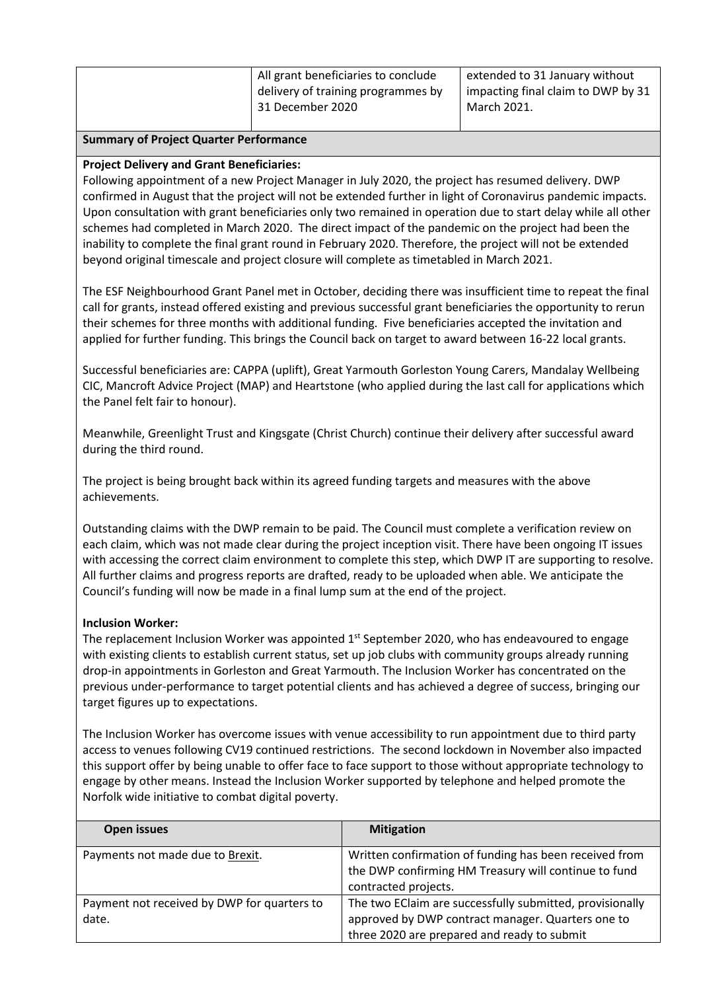#### **Summary of Project Quarter Performance**

#### **Project Delivery and Grant Beneficiaries:**

Following appointment of a new Project Manager in July 2020, the project has resumed delivery. DWP confirmed in August that the project will not be extended further in light of Coronavirus pandemic impacts. Upon consultation with grant beneficiaries only two remained in operation due to start delay while all other schemes had completed in March 2020. The direct impact of the pandemic on the project had been the inability to complete the final grant round in February 2020. Therefore, the project will not be extended beyond original timescale and project closure will complete as timetabled in March 2021.

The ESF Neighbourhood Grant Panel met in October, deciding there was insufficient time to repeat the final call for grants, instead offered existing and previous successful grant beneficiaries the opportunity to rerun their schemes for three months with additional funding. Five beneficiaries accepted the invitation and applied for further funding. This brings the Council back on target to award between 16-22 local grants.

Successful beneficiaries are: CAPPA (uplift), Great Yarmouth Gorleston Young Carers, Mandalay Wellbeing CIC, Mancroft Advice Project (MAP) and Heartstone (who applied during the last call for applications which the Panel felt fair to honour).

Meanwhile, Greenlight Trust and Kingsgate (Christ Church) continue their delivery after successful award during the third round.

The project is being brought back within its agreed funding targets and measures with the above achievements.

Outstanding claims with the DWP remain to be paid. The Council must complete a verification review on each claim, which was not made clear during the project inception visit. There have been ongoing IT issues with accessing the correct claim environment to complete this step, which DWP IT are supporting to resolve. All further claims and progress reports are drafted, ready to be uploaded when able. We anticipate the Council's funding will now be made in a final lump sum at the end of the project.

#### **Inclusion Worker:**

The replacement Inclusion Worker was appointed  $1<sup>st</sup>$  September 2020, who has endeavoured to engage with existing clients to establish current status, set up job clubs with community groups already running drop-in appointments in Gorleston and Great Yarmouth. The Inclusion Worker has concentrated on the previous under-performance to target potential clients and has achieved a degree of success, bringing our target figures up to expectations.

The Inclusion Worker has overcome issues with venue accessibility to run appointment due to third party access to venues following CV19 continued restrictions. The second lockdown in November also impacted this support offer by being unable to offer face to face support to those without appropriate technology to engage by other means. Instead the Inclusion Worker supported by telephone and helped promote the Norfolk wide initiative to combat digital poverty.

| Open issues                                          | <b>Mitigation</b>                                                                                                                                            |
|------------------------------------------------------|--------------------------------------------------------------------------------------------------------------------------------------------------------------|
| Payments not made due to Brexit.                     | Written confirmation of funding has been received from<br>the DWP confirming HM Treasury will continue to fund                                               |
|                                                      | contracted projects.                                                                                                                                         |
| Payment not received by DWP for quarters to<br>date. | The two EClaim are successfully submitted, provisionally<br>approved by DWP contract manager. Quarters one to<br>three 2020 are prepared and ready to submit |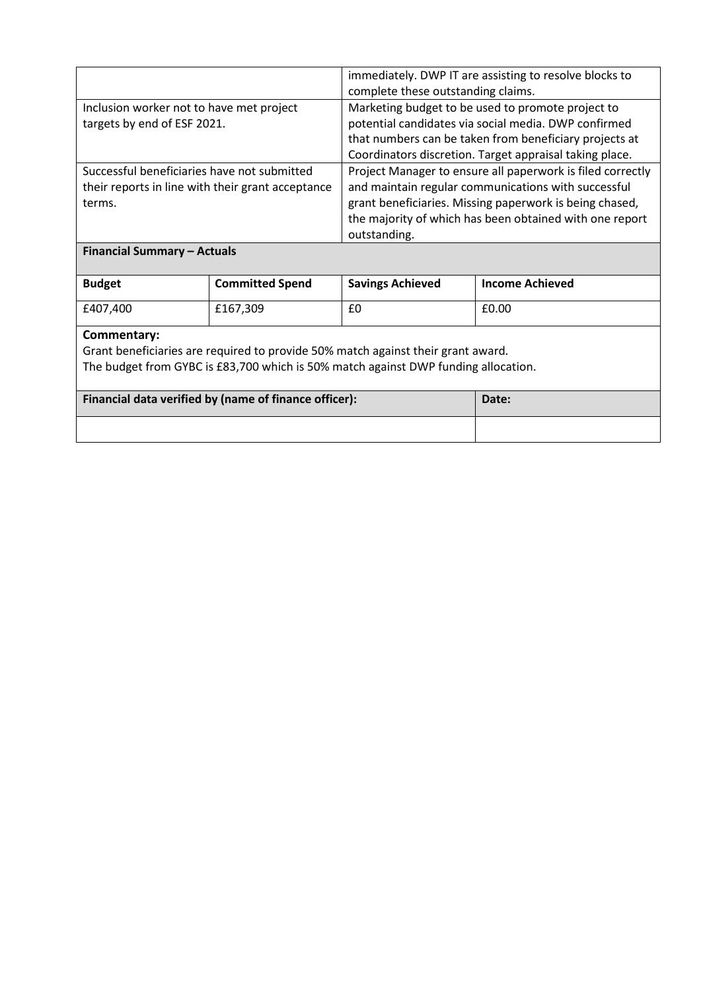|                                                                                                            | immediately. DWP IT are assisting to resolve blocks to<br>complete these outstanding claims.                                                                                                                                                            |
|------------------------------------------------------------------------------------------------------------|---------------------------------------------------------------------------------------------------------------------------------------------------------------------------------------------------------------------------------------------------------|
| Inclusion worker not to have met project<br>targets by end of ESF 2021.                                    | Marketing budget to be used to promote project to<br>potential candidates via social media. DWP confirmed<br>that numbers can be taken from beneficiary projects at<br>Coordinators discretion. Target appraisal taking place.                          |
| Successful beneficiaries have not submitted<br>their reports in line with their grant acceptance<br>terms. | Project Manager to ensure all paperwork is filed correctly<br>and maintain regular communications with successful<br>grant beneficiaries. Missing paperwork is being chased,<br>the majority of which has been obtained with one report<br>outstanding. |
| <b>Financial Summary - Actuals</b>                                                                         |                                                                                                                                                                                                                                                         |

| <b>Budget</b> | <b>Committed Spend</b> | <b>Savings Achieved</b> | <b>Income Achieved</b> |
|---------------|------------------------|-------------------------|------------------------|
| £407.400      | £167,309               | £0                      | £0.00                  |

# **Commentary:**

Grant beneficiaries are required to provide 50% match against their grant award. The budget from GYBC is £83,700 which is 50% match against DWP funding allocation.

| Financial data verified by (name of finance officer): | Date: |
|-------------------------------------------------------|-------|
|                                                       |       |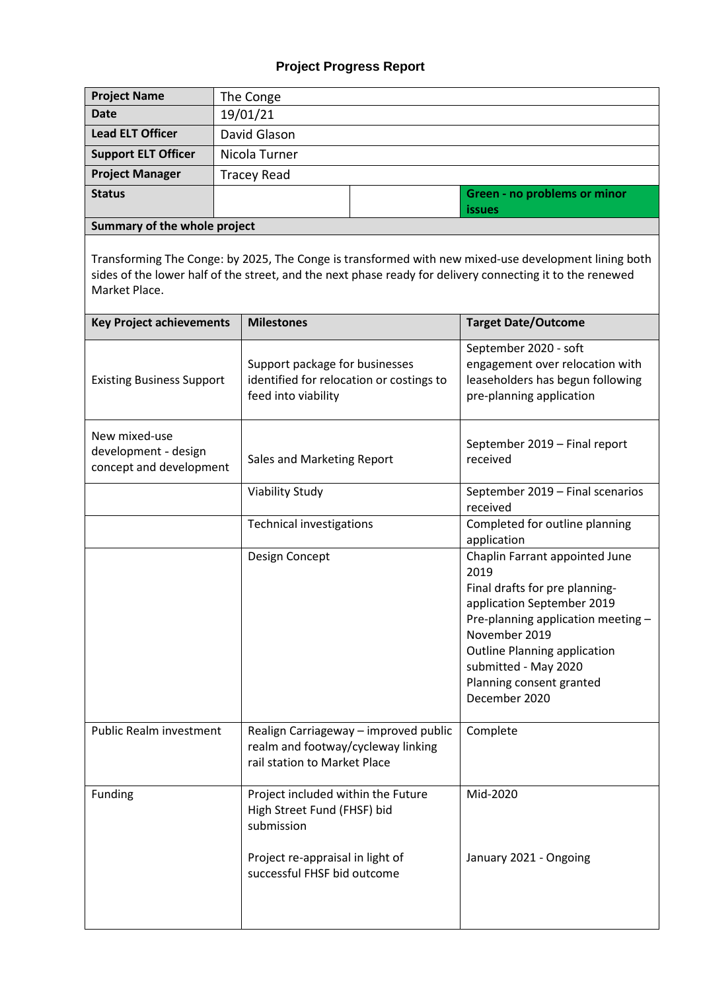# **Project Progress Report**

| <b>Project Name</b>          | The Conge          |                              |
|------------------------------|--------------------|------------------------------|
| <b>Date</b>                  | 19/01/21           |                              |
| <b>Lead ELT Officer</b>      | David Glason       |                              |
| <b>Support ELT Officer</b>   | Nicola Turner      |                              |
| <b>Project Manager</b>       | <b>Tracey Read</b> |                              |
| <b>Status</b>                |                    | Green - no problems or minor |
|                              |                    | <i>issues</i>                |
| Summary of the whole project |                    |                              |

Transforming The Conge: by 2025, The Conge is transformed with new mixed-use development lining both sides of the lower half of the street, and the next phase ready for delivery connecting it to the renewed Market Place.

| <b>Key Project achievements</b>                                  | <b>Milestones</b>                                                                                           | <b>Target Date/Outcome</b>                                                                                                                                                                                                                                               |
|------------------------------------------------------------------|-------------------------------------------------------------------------------------------------------------|--------------------------------------------------------------------------------------------------------------------------------------------------------------------------------------------------------------------------------------------------------------------------|
| <b>Existing Business Support</b>                                 | Support package for businesses<br>identified for relocation or costings to<br>feed into viability           | September 2020 - soft<br>engagement over relocation with<br>leaseholders has begun following<br>pre-planning application                                                                                                                                                 |
| New mixed-use<br>development - design<br>concept and development | Sales and Marketing Report                                                                                  | September 2019 - Final report<br>received                                                                                                                                                                                                                                |
|                                                                  | <b>Viability Study</b>                                                                                      | September 2019 - Final scenarios<br>received                                                                                                                                                                                                                             |
|                                                                  | <b>Technical investigations</b>                                                                             | Completed for outline planning<br>application                                                                                                                                                                                                                            |
|                                                                  | Design Concept                                                                                              | Chaplin Farrant appointed June<br>2019<br>Final drafts for pre planning-<br>application September 2019<br>Pre-planning application meeting-<br>November 2019<br><b>Outline Planning application</b><br>submitted - May 2020<br>Planning consent granted<br>December 2020 |
| Public Realm investment                                          | Realign Carriageway - improved public<br>realm and footway/cycleway linking<br>rail station to Market Place | Complete                                                                                                                                                                                                                                                                 |
| Funding                                                          | Project included within the Future<br>High Street Fund (FHSF) bid<br>submission                             | Mid-2020                                                                                                                                                                                                                                                                 |
|                                                                  | Project re-appraisal in light of<br>successful FHSF bid outcome                                             | January 2021 - Ongoing                                                                                                                                                                                                                                                   |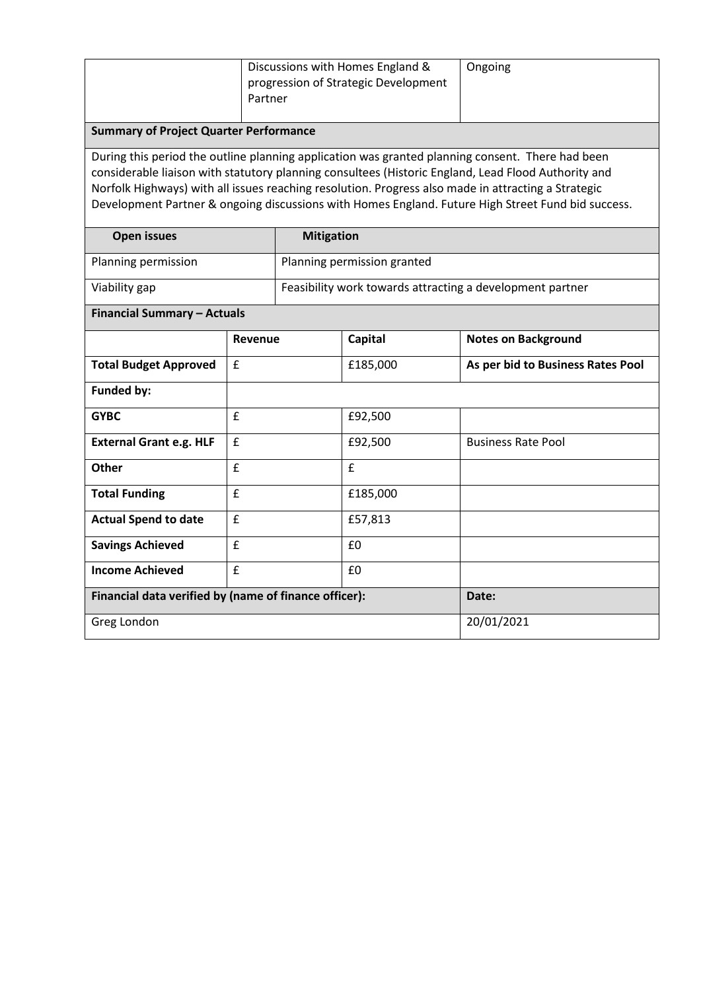|                                                                                                                                                                                                                                                                                                                                                                                                                      | Discussions with Homes England &<br>progression of Strategic Development<br>Partner |                   |                             | Ongoing                           |
|----------------------------------------------------------------------------------------------------------------------------------------------------------------------------------------------------------------------------------------------------------------------------------------------------------------------------------------------------------------------------------------------------------------------|-------------------------------------------------------------------------------------|-------------------|-----------------------------|-----------------------------------|
| <b>Summary of Project Quarter Performance</b>                                                                                                                                                                                                                                                                                                                                                                        |                                                                                     |                   |                             |                                   |
| During this period the outline planning application was granted planning consent. There had been<br>considerable liaison with statutory planning consultees (Historic England, Lead Flood Authority and<br>Norfolk Highways) with all issues reaching resolution. Progress also made in attracting a Strategic<br>Development Partner & ongoing discussions with Homes England. Future High Street Fund bid success. |                                                                                     |                   |                             |                                   |
| <b>Open issues</b>                                                                                                                                                                                                                                                                                                                                                                                                   |                                                                                     | <b>Mitigation</b> |                             |                                   |
| Planning permission                                                                                                                                                                                                                                                                                                                                                                                                  |                                                                                     |                   | Planning permission granted |                                   |
| Viability gap                                                                                                                                                                                                                                                                                                                                                                                                        | Feasibility work towards attracting a development partner                           |                   |                             |                                   |
| <b>Financial Summary - Actuals</b>                                                                                                                                                                                                                                                                                                                                                                                   |                                                                                     |                   |                             |                                   |
|                                                                                                                                                                                                                                                                                                                                                                                                                      | Revenue                                                                             |                   | <b>Capital</b>              | <b>Notes on Background</b>        |
| <b>Total Budget Approved</b>                                                                                                                                                                                                                                                                                                                                                                                         | £                                                                                   |                   | £185,000                    | As per bid to Business Rates Pool |
| <b>Funded by:</b>                                                                                                                                                                                                                                                                                                                                                                                                    |                                                                                     |                   |                             |                                   |
| <b>GYBC</b>                                                                                                                                                                                                                                                                                                                                                                                                          | £                                                                                   |                   | £92,500                     |                                   |
| <b>External Grant e.g. HLF</b>                                                                                                                                                                                                                                                                                                                                                                                       | £                                                                                   |                   | £92,500                     | <b>Business Rate Pool</b>         |
| <b>Other</b>                                                                                                                                                                                                                                                                                                                                                                                                         | £                                                                                   |                   | £                           |                                   |
| <b>Total Funding</b>                                                                                                                                                                                                                                                                                                                                                                                                 | £                                                                                   |                   | £185,000                    |                                   |
| <b>Actual Spend to date</b>                                                                                                                                                                                                                                                                                                                                                                                          | £                                                                                   |                   | £57,813                     |                                   |
| <b>Savings Achieved</b>                                                                                                                                                                                                                                                                                                                                                                                              | £                                                                                   |                   | £0                          |                                   |
| <b>Income Achieved</b>                                                                                                                                                                                                                                                                                                                                                                                               | £                                                                                   |                   | £0                          |                                   |
| Financial data verified by (name of finance officer):                                                                                                                                                                                                                                                                                                                                                                |                                                                                     | Date:             |                             |                                   |
| Greg London                                                                                                                                                                                                                                                                                                                                                                                                          |                                                                                     | 20/01/2021        |                             |                                   |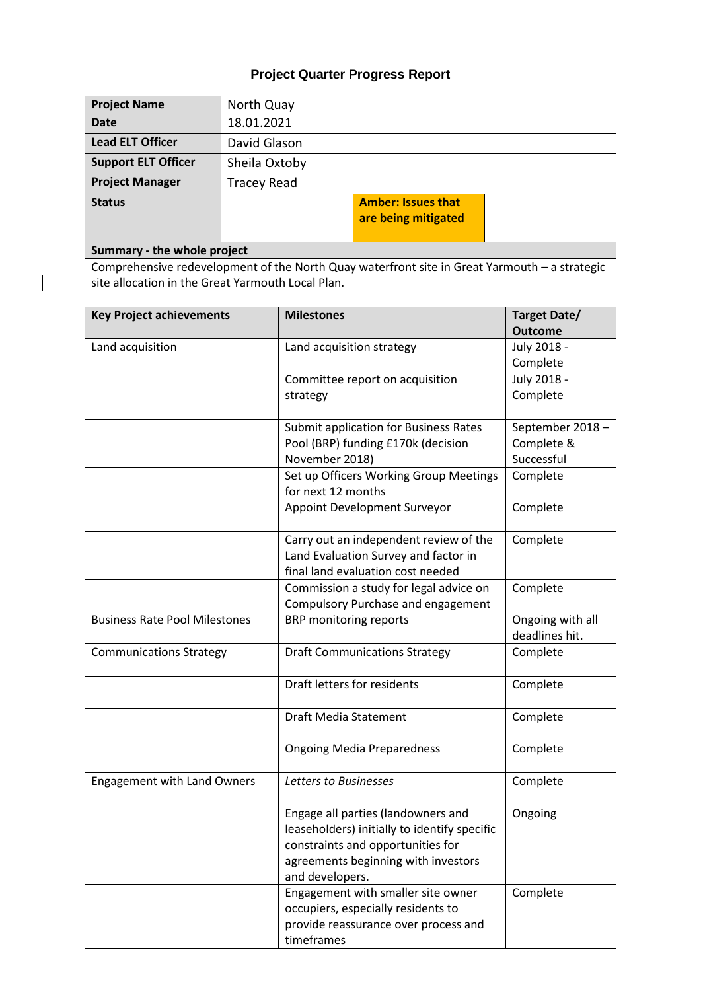# **Project Quarter Progress Report**

| <b>Project Name</b>                               | North Quay                |                                                                                                                                                                                   |                                |
|---------------------------------------------------|---------------------------|-----------------------------------------------------------------------------------------------------------------------------------------------------------------------------------|--------------------------------|
| <b>Date</b>                                       | 18.01.2021                |                                                                                                                                                                                   |                                |
| <b>Lead ELT Officer</b>                           | David Glason              |                                                                                                                                                                                   |                                |
| <b>Support ELT Officer</b>                        | Sheila Oxtoby             |                                                                                                                                                                                   |                                |
| <b>Project Manager</b>                            | <b>Tracey Read</b>        |                                                                                                                                                                                   |                                |
| <b>Status</b>                                     | <b>Amber: Issues that</b> |                                                                                                                                                                                   |                                |
|                                                   | are being mitigated       |                                                                                                                                                                                   |                                |
|                                                   |                           |                                                                                                                                                                                   |                                |
| Summary - the whole project                       |                           |                                                                                                                                                                                   |                                |
| site allocation in the Great Yarmouth Local Plan. |                           | Comprehensive redevelopment of the North Quay waterfront site in Great Yarmouth - a strategic                                                                                     |                                |
| <b>Key Project achievements</b>                   |                           | <b>Milestones</b>                                                                                                                                                                 | Target Date/<br><b>Outcome</b> |
| Land acquisition                                  |                           | Land acquisition strategy                                                                                                                                                         | July 2018 -                    |
|                                                   |                           |                                                                                                                                                                                   | Complete                       |
|                                                   |                           | Committee report on acquisition                                                                                                                                                   | July 2018 -                    |
|                                                   |                           | strategy                                                                                                                                                                          | Complete                       |
|                                                   |                           | Submit application for Business Rates                                                                                                                                             | September 2018-                |
|                                                   |                           | Pool (BRP) funding £170k (decision                                                                                                                                                | Complete &                     |
|                                                   |                           | November 2018)                                                                                                                                                                    | Successful                     |
|                                                   |                           | Set up Officers Working Group Meetings                                                                                                                                            | Complete                       |
|                                                   |                           | for next 12 months                                                                                                                                                                |                                |
|                                                   |                           | Appoint Development Surveyor                                                                                                                                                      | Complete                       |
|                                                   |                           | Carry out an independent review of the                                                                                                                                            | Complete                       |
|                                                   |                           | Land Evaluation Survey and factor in                                                                                                                                              |                                |
|                                                   |                           | final land evaluation cost needed                                                                                                                                                 |                                |
|                                                   |                           | Commission a study for legal advice on<br>Compulsory Purchase and engagement                                                                                                      | Complete                       |
| <b>Business Rate Pool Milestones</b>              |                           | BRP monitoring reports                                                                                                                                                            | Ongoing with all               |
|                                                   |                           |                                                                                                                                                                                   | deadlines hit.                 |
| <b>Communications Strategy</b>                    |                           | <b>Draft Communications Strategy</b>                                                                                                                                              | Complete                       |
|                                                   |                           |                                                                                                                                                                                   |                                |
|                                                   |                           | Draft letters for residents                                                                                                                                                       | Complete                       |
|                                                   |                           | Draft Media Statement                                                                                                                                                             | Complete                       |
|                                                   |                           |                                                                                                                                                                                   |                                |
|                                                   |                           | <b>Ongoing Media Preparedness</b>                                                                                                                                                 | Complete                       |
| <b>Engagement with Land Owners</b>                |                           | Letters to Businesses                                                                                                                                                             | Complete                       |
|                                                   |                           | Engage all parties (landowners and<br>leaseholders) initially to identify specific<br>constraints and opportunities for<br>agreements beginning with investors<br>and developers. | Ongoing                        |
|                                                   |                           | Engagement with smaller site owner<br>occupiers, especially residents to<br>provide reassurance over process and<br>timeframes                                                    | Complete                       |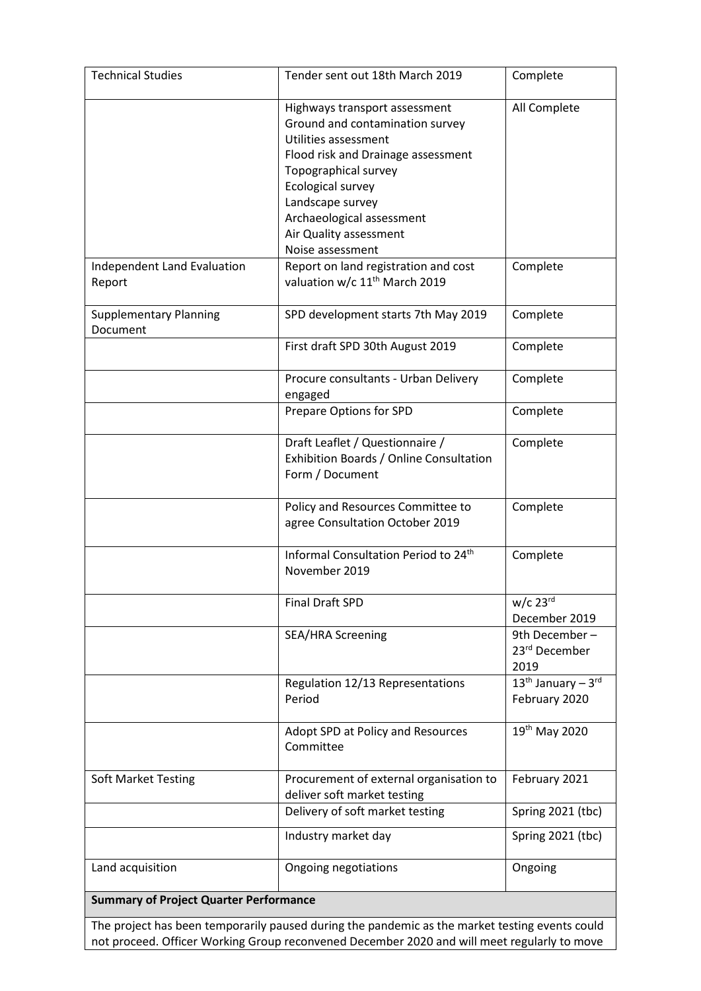| <b>Technical Studies</b>                                                                       | Tender sent out 18th March 2019                                                                                                                                                                                                                                            | Complete                                      |  |
|------------------------------------------------------------------------------------------------|----------------------------------------------------------------------------------------------------------------------------------------------------------------------------------------------------------------------------------------------------------------------------|-----------------------------------------------|--|
|                                                                                                | Highways transport assessment<br>Ground and contamination survey<br>Utilities assessment<br>Flood risk and Drainage assessment<br>Topographical survey<br>Ecological survey<br>Landscape survey<br>Archaeological assessment<br>Air Quality assessment<br>Noise assessment | All Complete                                  |  |
| Independent Land Evaluation<br>Report                                                          | Report on land registration and cost<br>valuation w/c 11 <sup>th</sup> March 2019                                                                                                                                                                                          | Complete                                      |  |
| <b>Supplementary Planning</b><br>Document                                                      | SPD development starts 7th May 2019                                                                                                                                                                                                                                        | Complete                                      |  |
|                                                                                                | First draft SPD 30th August 2019                                                                                                                                                                                                                                           | Complete                                      |  |
|                                                                                                | Procure consultants - Urban Delivery<br>engaged                                                                                                                                                                                                                            | Complete                                      |  |
|                                                                                                | Prepare Options for SPD                                                                                                                                                                                                                                                    | Complete                                      |  |
|                                                                                                | Draft Leaflet / Questionnaire /<br>Exhibition Boards / Online Consultation<br>Form / Document                                                                                                                                                                              | Complete                                      |  |
|                                                                                                | Policy and Resources Committee to<br>agree Consultation October 2019                                                                                                                                                                                                       | Complete                                      |  |
|                                                                                                | Informal Consultation Period to 24 <sup>th</sup><br>November 2019                                                                                                                                                                                                          | Complete                                      |  |
|                                                                                                | <b>Final Draft SPD</b>                                                                                                                                                                                                                                                     | $w/c$ 23 $rd$<br>December 2019                |  |
|                                                                                                | <b>SEA/HRA Screening</b>                                                                                                                                                                                                                                                   | 9th December-<br>23rd December<br>2019        |  |
|                                                                                                | Regulation 12/13 Representations<br>Period                                                                                                                                                                                                                                 | $13^{th}$ January - $3^{rd}$<br>February 2020 |  |
|                                                                                                | Adopt SPD at Policy and Resources<br>Committee                                                                                                                                                                                                                             | 19 <sup>th</sup> May 2020                     |  |
| <b>Soft Market Testing</b>                                                                     | Procurement of external organisation to<br>deliver soft market testing                                                                                                                                                                                                     | February 2021                                 |  |
|                                                                                                | Delivery of soft market testing                                                                                                                                                                                                                                            | Spring 2021 (tbc)                             |  |
|                                                                                                | Industry market day                                                                                                                                                                                                                                                        | Spring 2021 (tbc)                             |  |
| Land acquisition                                                                               | Ongoing negotiations                                                                                                                                                                                                                                                       | Ongoing                                       |  |
| <b>Summary of Project Quarter Performance</b>                                                  |                                                                                                                                                                                                                                                                            |                                               |  |
| The project has been temporarily paused during the pandemic as the market testing events could |                                                                                                                                                                                                                                                                            |                                               |  |

not proceed. Officer Working Group reconvened December 2020 and will meet regularly to move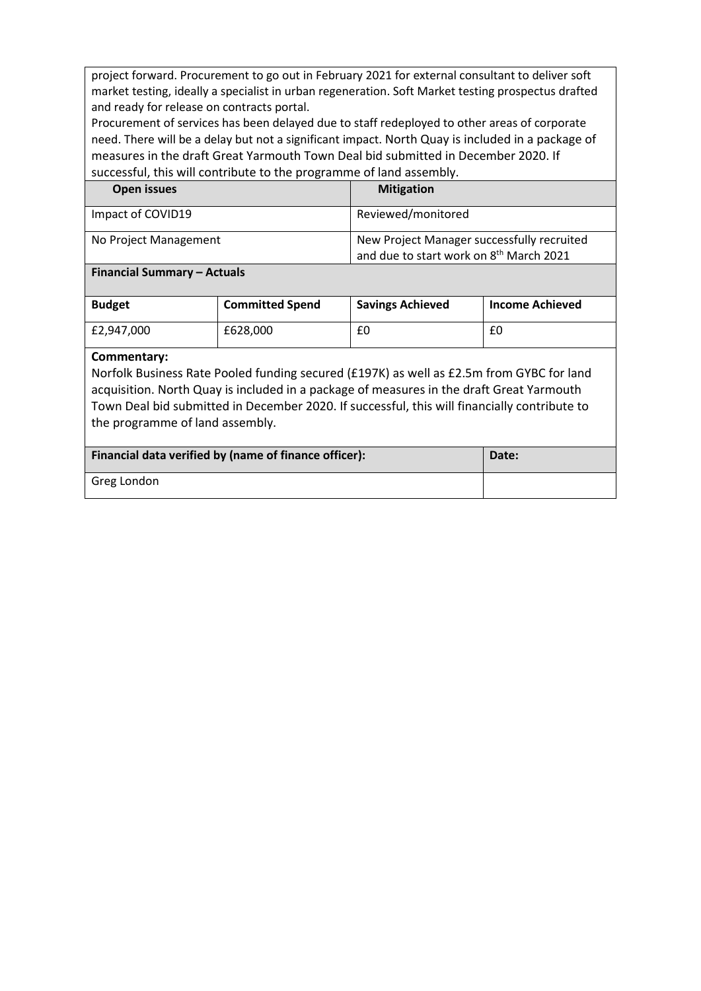project forward. Procurement to go out in February 2021 for external consultant to deliver soft market testing, ideally a specialist in urban regeneration. Soft Market testing prospectus drafted and ready for release on contracts portal.

Procurement of services has been delayed due to staff redeployed to other areas of corporate need. There will be a delay but not a significant impact. North Quay is included in a package of measures in the draft Great Yarmouth Town Deal bid submitted in December 2020. If successful, this will contribute to the programme of land assembly.

| Open issues           | <b>Mitigation</b>                                                                                 |
|-----------------------|---------------------------------------------------------------------------------------------------|
| Impact of COVID19     | Reviewed/monitored                                                                                |
| No Project Management | New Project Manager successfully recruited<br>and due to start work on 8 <sup>th</sup> March 2021 |

#### **Financial Summary – Actuals**

| <b>Budget</b> | <b>Committed Spend</b> | <b>Savings Achieved</b> | <b>Income Achieved</b> |
|---------------|------------------------|-------------------------|------------------------|
| £2.947.000    | £628,000               | £0                      | £0                     |

#### **Commentary:**

Norfolk Business Rate Pooled funding secured (£197K) as well as £2.5m from GYBC for land acquisition. North Quay is included in a package of measures in the draft Great Yarmouth Town Deal bid submitted in December 2020. If successful, this will financially contribute to the programme of land assembly.

| Financial data verified by (name of finance officer): | Date: |
|-------------------------------------------------------|-------|
| Greg London                                           |       |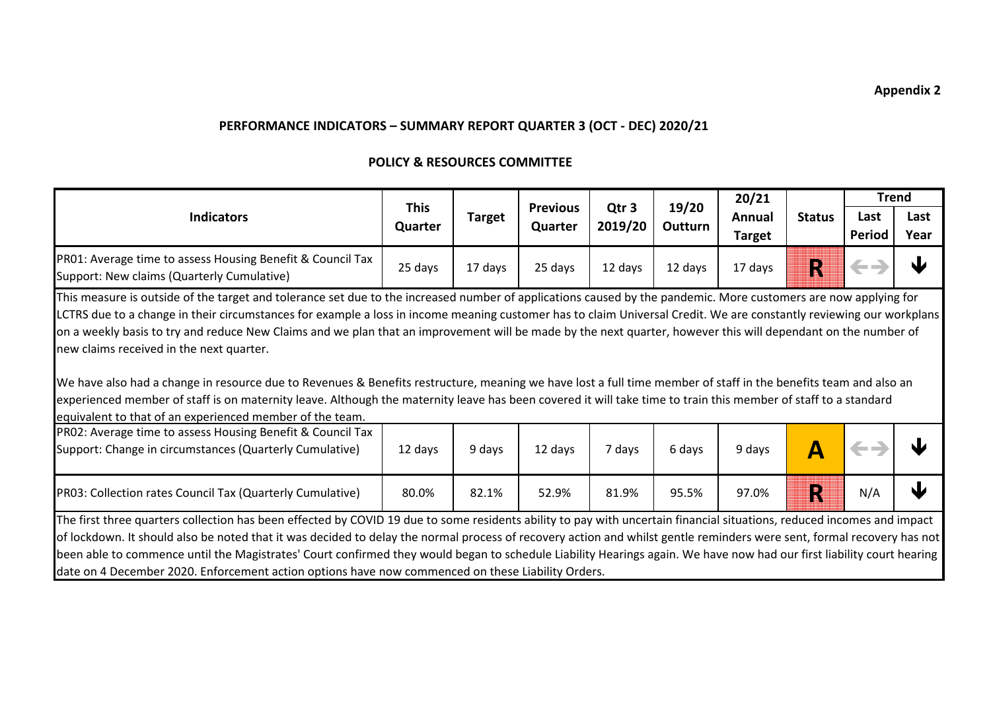## **POLICY & RESOURCES COMMITTEE**

|                                                                                                                                                                                                                                                                                                                                                                                                                                                                                                                                                                                                                                                                                                                                                                                                                                                                                                                                                      |                        |               |                            |                             |                         | 20/21                   |               | <b>Trend</b>          |              |
|------------------------------------------------------------------------------------------------------------------------------------------------------------------------------------------------------------------------------------------------------------------------------------------------------------------------------------------------------------------------------------------------------------------------------------------------------------------------------------------------------------------------------------------------------------------------------------------------------------------------------------------------------------------------------------------------------------------------------------------------------------------------------------------------------------------------------------------------------------------------------------------------------------------------------------------------------|------------------------|---------------|----------------------------|-----------------------------|-------------------------|-------------------------|---------------|-----------------------|--------------|
| <b>Indicators</b>                                                                                                                                                                                                                                                                                                                                                                                                                                                                                                                                                                                                                                                                                                                                                                                                                                                                                                                                    | <b>This</b><br>Quarter | <b>Target</b> | <b>Previous</b><br>Quarter | Qtr <sub>3</sub><br>2019/20 | 19/20<br><b>Outturn</b> | Annual<br><b>Target</b> | <b>Status</b> | Last<br><b>Period</b> | Last<br>Year |
| PR01: Average time to assess Housing Benefit & Council Tax<br>Support: New claims (Quarterly Cumulative)                                                                                                                                                                                                                                                                                                                                                                                                                                                                                                                                                                                                                                                                                                                                                                                                                                             | 25 days                | 17 days       | 25 days                    | 12 days                     | 12 days                 | 17 days                 | R             | $\leftrightarrow$     | W            |
| This measure is outside of the target and tolerance set due to the increased number of applications caused by the pandemic. More customers are now applying for<br>LCTRS due to a change in their circumstances for example a loss in income meaning customer has to claim Universal Credit. We are constantly reviewing our workplans<br>on a weekly basis to try and reduce New Claims and we plan that an improvement will be made by the next quarter, however this will dependant on the number of<br>new claims received in the next quarter.<br>We have also had a change in resource due to Revenues & Benefits restructure, meaning we have lost a full time member of staff in the benefits team and also an<br>experienced member of staff is on maternity leave. Although the maternity leave has been covered it will take time to train this member of staff to a standard<br>equivalent to that of an experienced member of the team. |                        |               |                            |                             |                         |                         |               |                       |              |
| PR02: Average time to assess Housing Benefit & Council Tax<br>Support: Change in circumstances (Quarterly Cumulative)                                                                                                                                                                                                                                                                                                                                                                                                                                                                                                                                                                                                                                                                                                                                                                                                                                | 12 days                | 9 days        | 12 days                    | 7 days                      | 6 days                  | 9 days                  | A             | $\leftarrow$          |              |
| PR03: Collection rates Council Tax (Quarterly Cumulative)                                                                                                                                                                                                                                                                                                                                                                                                                                                                                                                                                                                                                                                                                                                                                                                                                                                                                            | 80.0%                  | 82.1%         | 52.9%                      | 81.9%                       | 95.5%                   | 97.0%                   | N             | N/A                   | J            |
| The first three quarters collection has been effected by COVID 19 due to some residents ability to pay with uncertain financial situations, reduced incomes and impact<br>of lockdown. It should also be noted that it was decided to delay the normal process of recovery action and whilst gentle reminders were sent, formal recovery has not<br>been able to commence until the Magistrates' Court confirmed they would began to schedule Liability Hearings again. We have now had our first liability court hearing<br>date on 4 December 2020. Enforcement action options have now commenced on these Liability Orders.                                                                                                                                                                                                                                                                                                                       |                        |               |                            |                             |                         |                         |               |                       |              |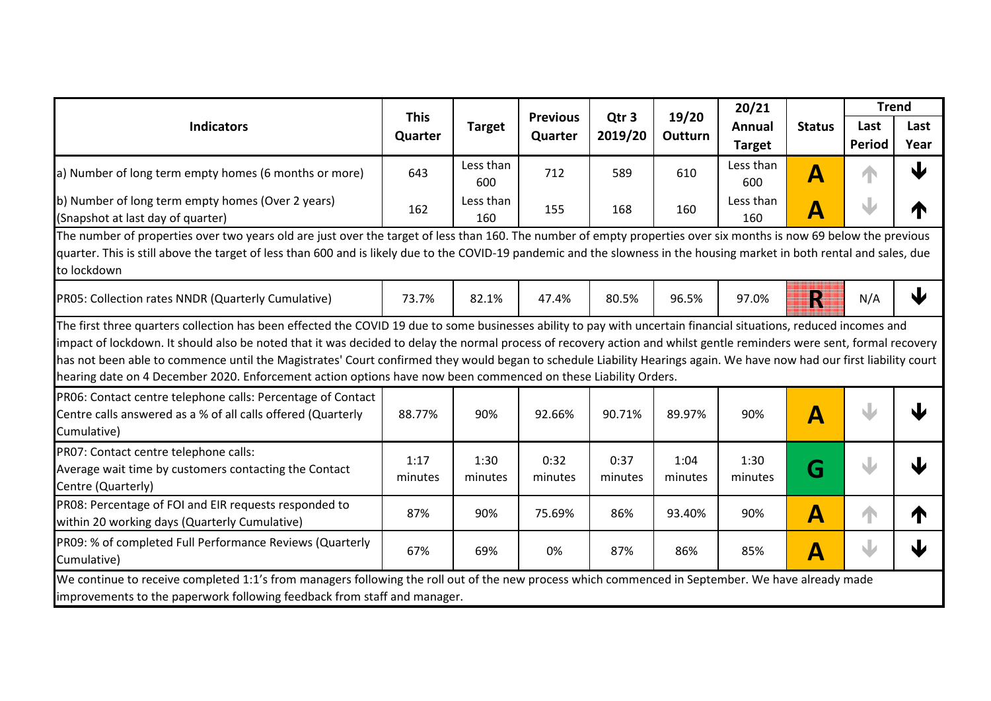|                                                                                                                                                                                                                                                                                                                                                                                                                                                                  |                        |                  |                            |                             |                  | 20/21            |                           | <b>Trend</b>  |              |
|------------------------------------------------------------------------------------------------------------------------------------------------------------------------------------------------------------------------------------------------------------------------------------------------------------------------------------------------------------------------------------------------------------------------------------------------------------------|------------------------|------------------|----------------------------|-----------------------------|------------------|------------------|---------------------------|---------------|--------------|
| <b>Indicators</b>                                                                                                                                                                                                                                                                                                                                                                                                                                                | <b>This</b><br>Quarter | <b>Target</b>    | <b>Previous</b><br>Quarter | Qtr <sub>3</sub><br>2019/20 | 19/20<br>Outturn | Annual           | <b>Status</b>             | Last          | Last         |
|                                                                                                                                                                                                                                                                                                                                                                                                                                                                  |                        |                  |                            |                             |                  | <b>Target</b>    |                           | <b>Period</b> | Year         |
| a) Number of long term empty homes (6 months or more)                                                                                                                                                                                                                                                                                                                                                                                                            | 643                    | Less than<br>600 | 712                        | 589                         | 610              | Less than<br>600 | $\overline{\mathsf{A}}$   |               | 业            |
| b) Number of long term empty homes (Over 2 years)<br>(Snapshot at last day of quarter)                                                                                                                                                                                                                                                                                                                                                                           | 162                    | Less than<br>160 | 155                        | 168                         | 160              | Less than<br>160 | A                         |               |              |
| The number of properties over two years old are just over the target of less than 160. The number of empty properties over six months is now 69 below the previous<br>quarter. This is still above the target of less than 600 and is likely due to the COVID-19 pandemic and the slowness in the housing market in both rental and sales, due<br>to lockdown                                                                                                    |                        |                  |                            |                             |                  |                  |                           |               |              |
| PR05: Collection rates NNDR (Quarterly Cumulative)                                                                                                                                                                                                                                                                                                                                                                                                               | 73.7%                  | 82.1%            | 47.4%                      | 80.5%                       | 96.5%            | 97.0%            | N                         | N/A           | $\downarrow$ |
| impact of lockdown. It should also be noted that it was decided to delay the normal process of recovery action and whilst gentle reminders were sent, formal recovery<br>has not been able to commence until the Magistrates' Court confirmed they would began to schedule Liability Hearings again. We have now had our first liability court<br>hearing date on 4 December 2020. Enforcement action options have now been commenced on these Liability Orders. |                        |                  |                            |                             |                  |                  |                           |               |              |
| PR06: Contact centre telephone calls: Percentage of Contact<br>Centre calls answered as a % of all calls offered (Quarterly<br>Cumulative)                                                                                                                                                                                                                                                                                                                       | 88.77%                 | 90%              | 92.66%                     | 90.71%                      | 89.97%           | 90%              | Α                         |               |              |
| PR07: Contact centre telephone calls:<br>Average wait time by customers contacting the Contact<br>Centre (Quarterly)                                                                                                                                                                                                                                                                                                                                             | 1:17<br>minutes        | 1:30<br>minutes  | 0:32<br>minutes            | 0:37<br>minutes             | 1:04<br>minutes  | 1:30<br>minutes  | G                         |               |              |
| PR08: Percentage of FOI and EIR requests responded to<br>within 20 working days (Quarterly Cumulative)                                                                                                                                                                                                                                                                                                                                                           | 87%                    | 90%              | 75.69%                     | 86%                         | 93.40%           | 90%              | $\boldsymbol{\mathsf{A}}$ |               |              |
| PR09: % of completed Full Performance Reviews (Quarterly<br>Cumulative)                                                                                                                                                                                                                                                                                                                                                                                          | 67%                    | 69%              | 0%                         | 87%                         | 86%              | 85%              | $\boldsymbol{\mathsf{A}}$ |               |              |
| We continue to receive completed 1:1's from managers following the roll out of the new process which commenced in September. We have already made<br>improvements to the paperwork following feedback from staff and manager.                                                                                                                                                                                                                                    |                        |                  |                            |                             |                  |                  |                           |               |              |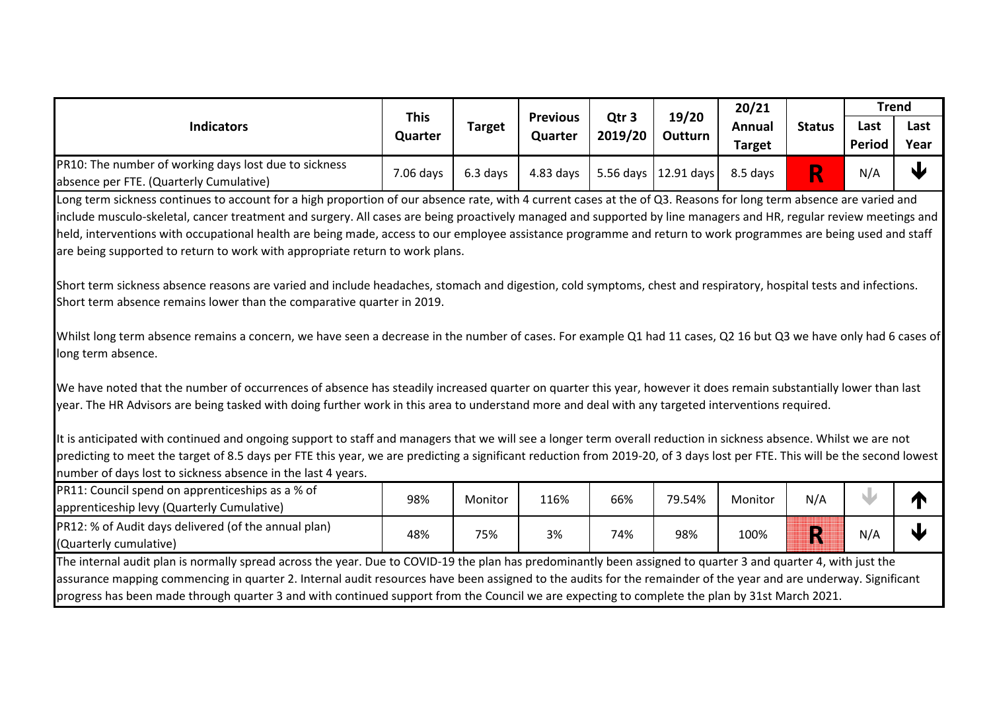|                                                                                                                                                                                                                                                                                                                        | <b>This</b> |               | <b>Previous</b> | Qtr <sub>3</sub> | 19/20                  | 20/21         |               | <b>Trend</b>  |           |
|------------------------------------------------------------------------------------------------------------------------------------------------------------------------------------------------------------------------------------------------------------------------------------------------------------------------|-------------|---------------|-----------------|------------------|------------------------|---------------|---------------|---------------|-----------|
| <b>Indicators</b>                                                                                                                                                                                                                                                                                                      | Quarter     | <b>Target</b> | Quarter         | 2019/20          | <b>Outturn</b>         | Annual        | <b>Status</b> | Last          | Last      |
|                                                                                                                                                                                                                                                                                                                        |             |               |                 |                  |                        | <b>Target</b> |               | <b>Period</b> | Year      |
| PR10: The number of working days lost due to sickness<br>absence per FTE. (Quarterly Cumulative)                                                                                                                                                                                                                       | 7.06 days   | 6.3 days      | $4.83$ days     |                  | 5.56 days   12.91 days | 8.5 days      | R             | N/A           | $\bigcup$ |
| Long term sickness continues to account for a high proportion of our absence rate, with 4 current cases at the of Q3. Reasons for long term absence are varied and                                                                                                                                                     |             |               |                 |                  |                        |               |               |               |           |
| include musculo-skeletal, cancer treatment and surgery. All cases are being proactively managed and supported by line managers and HR, regular review meetings and                                                                                                                                                     |             |               |                 |                  |                        |               |               |               |           |
| held, interventions with occupational health are being made, access to our employee assistance programme and return to work programmes are being used and staff                                                                                                                                                        |             |               |                 |                  |                        |               |               |               |           |
| are being supported to return to work with appropriate return to work plans.                                                                                                                                                                                                                                           |             |               |                 |                  |                        |               |               |               |           |
| Short term sickness absence reasons are varied and include headaches, stomach and digestion, cold symptoms, chest and respiratory, hospital tests and infections.                                                                                                                                                      |             |               |                 |                  |                        |               |               |               |           |
| Short term absence remains lower than the comparative quarter in 2019.                                                                                                                                                                                                                                                 |             |               |                 |                  |                        |               |               |               |           |
| Whilst long term absence remains a concern, we have seen a decrease in the number of cases. For example Q1 had 11 cases, Q2 16 but Q3 we have only had 6 cases of<br>long term absence.                                                                                                                                |             |               |                 |                  |                        |               |               |               |           |
| We have noted that the number of occurrences of absence has steadily increased quarter on quarter this year, however it does remain substantially lower than last<br>year. The HR Advisors are being tasked with doing further work in this area to understand more and deal with any targeted interventions required. |             |               |                 |                  |                        |               |               |               |           |
| It is anticipated with continued and ongoing support to staff and managers that we will see a longer term overall reduction in sickness absence. Whilst we are not                                                                                                                                                     |             |               |                 |                  |                        |               |               |               |           |
| predicting to meet the target of 8.5 days per FTE this year, we are predicting a significant reduction from 2019-20, of 3 days lost per FTE. This will be the second lowest                                                                                                                                            |             |               |                 |                  |                        |               |               |               |           |
| number of days lost to sickness absence in the last 4 years.                                                                                                                                                                                                                                                           |             |               |                 |                  |                        |               |               |               |           |
| PR11: Council spend on apprenticeships as a % of                                                                                                                                                                                                                                                                       |             |               |                 |                  |                        |               |               |               |           |
| apprenticeship levy (Quarterly Cumulative)                                                                                                                                                                                                                                                                             | 98%         | Monitor       | 116%            | 66%              | 79.54%                 | Monitor       | N/A           | W             |           |
| PR12: % of Audit days delivered (of the annual plan)                                                                                                                                                                                                                                                                   |             |               |                 |                  |                        |               |               |               | ↓         |
| (Quarterly cumulative)                                                                                                                                                                                                                                                                                                 | 48%         | 75%           | 3%              | 74%              | 98%                    | 100%          | R             | N/A           |           |
| The internal audit plan is normally spread across the year. Due to COVID-19 the plan has predominantly been assigned to quarter 3 and quarter 4, with just the                                                                                                                                                         |             |               |                 |                  |                        |               |               |               |           |
| assurance mapping commencing in quarter 2. Internal audit resources have been assigned to the audits for the remainder of the year and are underway. Significant                                                                                                                                                       |             |               |                 |                  |                        |               |               |               |           |
| progress has been made through quarter 3 and with continued support from the Council we are expecting to complete the plan by 31st March 2021.                                                                                                                                                                         |             |               |                 |                  |                        |               |               |               |           |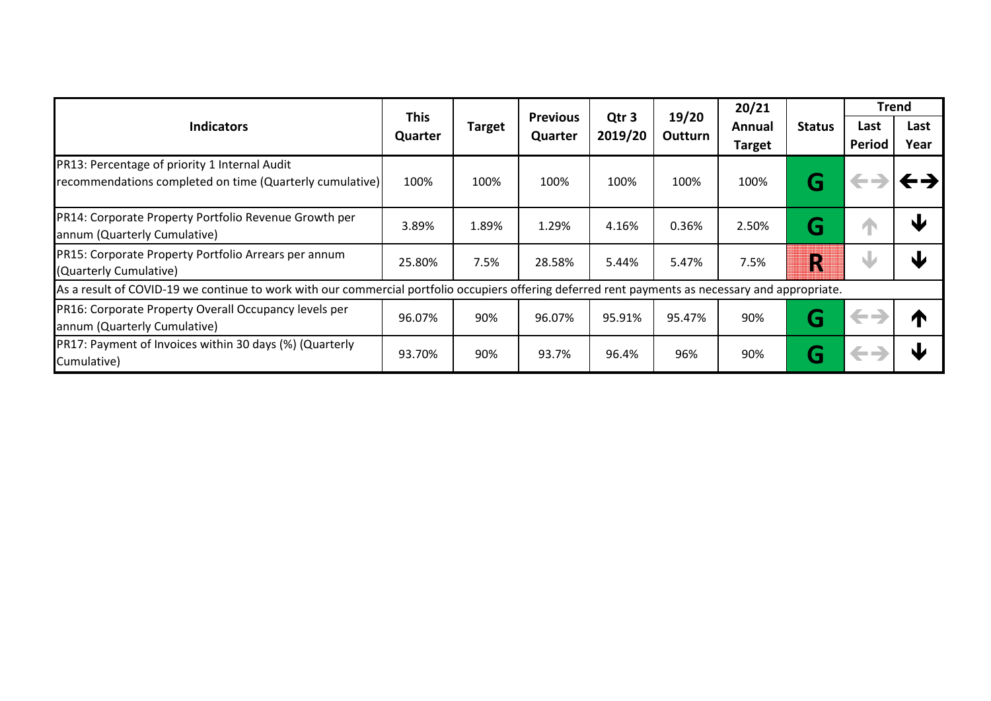|                                                                                                                                                   |                        |               |                            |                             |                  | 20/21                   |               | <b>Trend</b>   |              |
|---------------------------------------------------------------------------------------------------------------------------------------------------|------------------------|---------------|----------------------------|-----------------------------|------------------|-------------------------|---------------|----------------|--------------|
| <b>Indicators</b>                                                                                                                                 | <b>This</b><br>Quarter | <b>Target</b> | <b>Previous</b><br>Quarter | Qtr <sub>3</sub><br>2019/20 | 19/20<br>Outturn | Annual<br><b>Target</b> | <b>Status</b> | Last<br>Period | Last<br>Year |
| PR13: Percentage of priority 1 Internal Audit<br>recommendations completed on time (Quarterly cumulative)                                         | 100%                   | 100%          | 100%                       | 100%                        | 100%             | 100%                    | G             |                |              |
| PR14: Corporate Property Portfolio Revenue Growth per<br>annum (Quarterly Cumulative)                                                             | 3.89%                  | 1.89%         | 1.29%                      | 4.16%                       | 0.36%            | 2.50%                   | G             | T              | W            |
| PR15: Corporate Property Portfolio Arrears per annum<br>(Quarterly Cumulative)                                                                    | 25.80%                 | 7.5%          | 28.58%                     | 5.44%                       | 5.47%            | 7.5%                    | R             | W              | N            |
| As a result of COVID-19 we continue to work with our commercial portfolio occupiers offering deferred rent payments as necessary and appropriate. |                        |               |                            |                             |                  |                         |               |                |              |
| PR16: Corporate Property Overall Occupancy levels per<br>annum (Quarterly Cumulative)                                                             | 96.07%                 | 90%           | 96.07%                     | 95.91%                      | 95.47%           | 90%                     | G             | $\leftarrow$   | И            |
| PR17: Payment of Invoices within 30 days (%) (Quarterly<br>Cumulative)                                                                            | 93.70%                 | 90%           | 93.7%                      | 96.4%                       | 96%              | 90%                     | G             | <b>CE</b>      | NU           |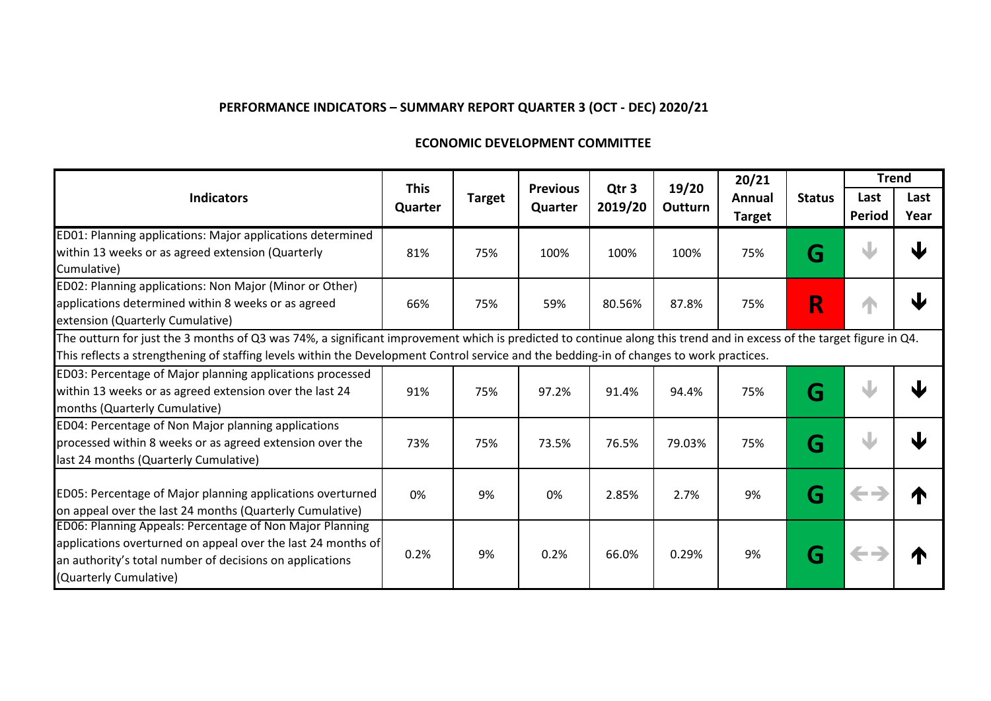#### **ECONOMIC DEVELOPMENT COMMITTEE**

|                                                                                                                                                                      |                        |               |                            |                             |                  | 20/21         |               | <b>Trend</b>  |      |
|----------------------------------------------------------------------------------------------------------------------------------------------------------------------|------------------------|---------------|----------------------------|-----------------------------|------------------|---------------|---------------|---------------|------|
| <b>Indicators</b>                                                                                                                                                    | <b>This</b><br>Quarter | <b>Target</b> | <b>Previous</b><br>Quarter | Qtr <sub>3</sub><br>2019/20 | 19/20<br>Outturn | Annual        | <b>Status</b> | Last          | Last |
|                                                                                                                                                                      |                        |               |                            |                             |                  | <b>Target</b> |               | <b>Period</b> | Year |
| ED01: Planning applications: Major applications determined                                                                                                           |                        |               |                            |                             |                  |               |               |               |      |
| within 13 weeks or as agreed extension (Quarterly                                                                                                                    | 81%                    | 75%           | 100%                       | 100%                        | 100%             | 75%           | G             |               |      |
| Cumulative)                                                                                                                                                          |                        |               |                            |                             |                  |               |               |               |      |
| ED02: Planning applications: Non Major (Minor or Other)                                                                                                              |                        |               |                            |                             |                  |               |               |               |      |
| applications determined within 8 weeks or as agreed                                                                                                                  | 66%                    | 75%           | 59%                        | 80.56%                      | 87.8%            | 75%           | R             | 4             |      |
| extension (Quarterly Cumulative)                                                                                                                                     |                        |               |                            |                             |                  |               |               |               |      |
| The outturn for just the 3 months of Q3 was 74%, a significant improvement which is predicted to continue along this trend and in excess of the target figure in Q4. |                        |               |                            |                             |                  |               |               |               |      |
| This reflects a strengthening of staffing levels within the Development Control service and the bedding-in of changes to work practices.                             |                        |               |                            |                             |                  |               |               |               |      |
| ED03: Percentage of Major planning applications processed                                                                                                            |                        |               |                            |                             |                  |               |               |               |      |
| within 13 weeks or as agreed extension over the last 24                                                                                                              | 91%                    | 75%           | 97.2%                      | 91.4%                       | 94.4%            | 75%           | G             |               |      |
| months (Quarterly Cumulative)                                                                                                                                        |                        |               |                            |                             |                  |               |               |               |      |
| ED04: Percentage of Non Major planning applications                                                                                                                  |                        |               |                            |                             |                  |               |               |               |      |
| processed within 8 weeks or as agreed extension over the                                                                                                             | 73%                    | 75%           | 73.5%                      | 76.5%                       | 79.03%           | 75%           | G             |               |      |
| last 24 months (Quarterly Cumulative)                                                                                                                                |                        |               |                            |                             |                  |               |               |               |      |
| ED05: Percentage of Major planning applications overturned                                                                                                           | 0%                     | 9%            | 0%                         | 2.85%                       | 2.7%             | 9%            | G             | $\leftarrow$  |      |
| on appeal over the last 24 months (Quarterly Cumulative)                                                                                                             |                        |               |                            |                             |                  |               |               |               |      |
| ED06: Planning Appeals: Percentage of Non Major Planning                                                                                                             |                        |               |                            |                             |                  |               |               |               |      |
| applications overturned on appeal over the last 24 months of                                                                                                         |                        |               |                            |                             |                  |               |               |               |      |
| an authority's total number of decisions on applications                                                                                                             | 0.2%                   | 9%            | 0.2%                       | 66.0%                       | 0.29%            | 9%            | G             | $\leftarrow$  |      |
| (Quarterly Cumulative)                                                                                                                                               |                        |               |                            |                             |                  |               |               |               |      |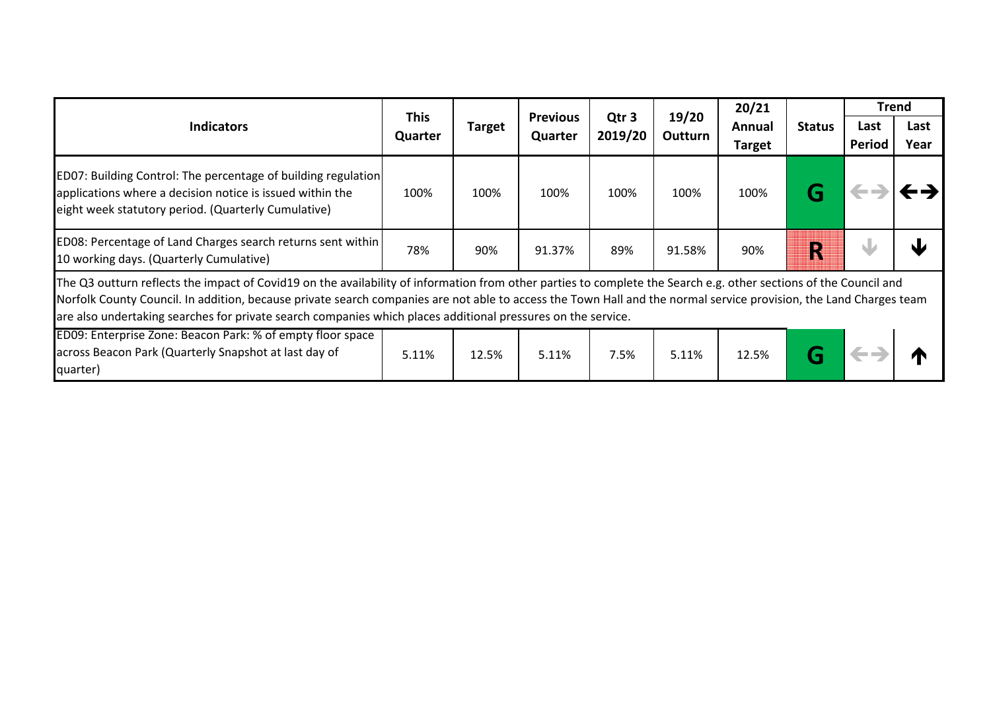|                                                                                                                                                                                                                                                                                                                                                                                                                                                         |             |               |                 |                             |                  | 20/21         |               | <b>Trend</b> |      |
|---------------------------------------------------------------------------------------------------------------------------------------------------------------------------------------------------------------------------------------------------------------------------------------------------------------------------------------------------------------------------------------------------------------------------------------------------------|-------------|---------------|-----------------|-----------------------------|------------------|---------------|---------------|--------------|------|
| <b>Indicators</b>                                                                                                                                                                                                                                                                                                                                                                                                                                       | <b>This</b> | <b>Target</b> | <b>Previous</b> | Qtr <sub>3</sub><br>2019/20 | 19/20<br>Outturn | Annual        | <b>Status</b> | Last         | Last |
|                                                                                                                                                                                                                                                                                                                                                                                                                                                         | Quarter     |               | Quarter         |                             |                  | <b>Target</b> |               | Period       | Year |
| ED07: Building Control: The percentage of building regulation<br>applications where a decision notice is issued within the<br>eight week statutory period. (Quarterly Cumulative)                                                                                                                                                                                                                                                                       | 100%        | 100%          | 100%            | 100%                        | 100%             | 100%          |               |              |      |
| ED08: Percentage of Land Charges search returns sent within<br>10 working days. (Quarterly Cumulative)                                                                                                                                                                                                                                                                                                                                                  | 78%         | 90%           | 91.37%          | 89%                         | 91.58%           | 90%           | N             |              |      |
| The Q3 outturn reflects the impact of Covid19 on the availability of information from other parties to complete the Search e.g. other sections of the Council and<br>Norfolk County Council. In addition, because private search companies are not able to access the Town Hall and the normal service provision, the Land Charges team<br>are also undertaking searches for private search companies which places additional pressures on the service. |             |               |                 |                             |                  |               |               |              |      |
| ED09: Enterprise Zone: Beacon Park: % of empty floor space<br>across Beacon Park (Quarterly Snapshot at last day of<br>quarter)                                                                                                                                                                                                                                                                                                                         | 5.11%       | 12.5%         | 5.11%           | 7.5%                        | 5.11%            | 12.5%         |               |              |      |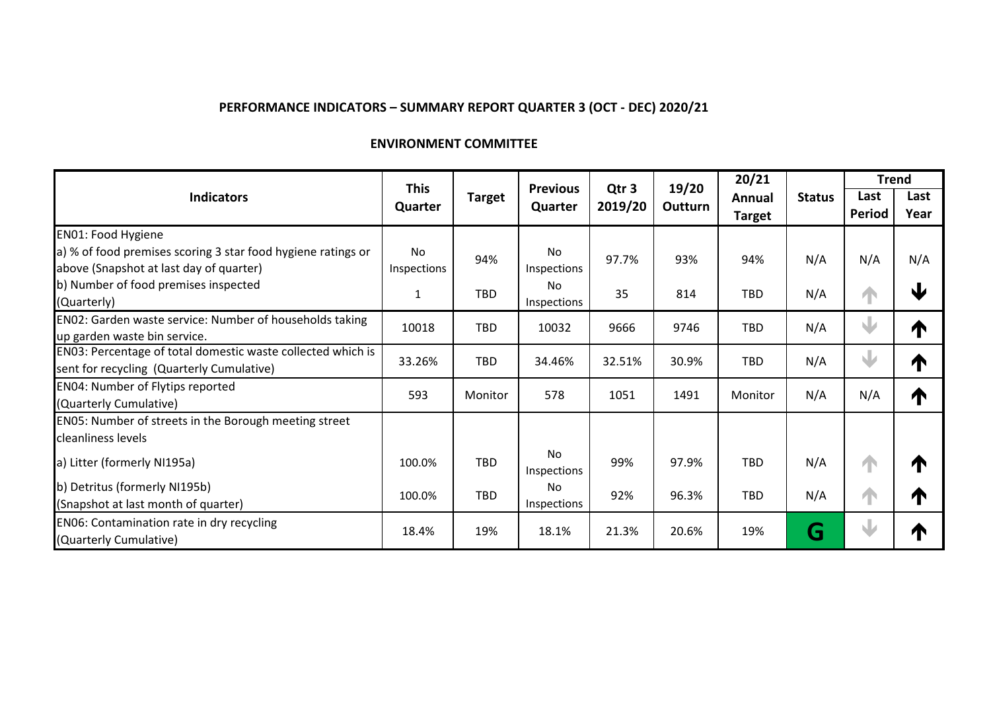## **ENVIRONMENT COMMITTEE**

|                                                              | <b>This</b> |               | <b>Previous</b> |                             | 19/20   | 20/21         |               | <b>Trend</b> |              |
|--------------------------------------------------------------|-------------|---------------|-----------------|-----------------------------|---------|---------------|---------------|--------------|--------------|
| <b>Indicators</b>                                            |             | <b>Target</b> | Quarter         | Qtr <sub>3</sub><br>2019/20 | Outturn | Annual        | <b>Status</b> | Last         | Last         |
|                                                              | Quarter     |               |                 |                             |         | <b>Target</b> |               | Period       | Year         |
| <b>EN01: Food Hygiene</b>                                    |             |               |                 |                             |         |               |               |              |              |
| a) % of food premises scoring 3 star food hygiene ratings or | No          | 94%           | No              | 97.7%                       | 93%     | 94%           | N/A           | N/A          | N/A          |
| above (Snapshot at last day of quarter)                      | Inspections |               | Inspections     |                             |         |               |               |              |              |
| b) Number of food premises inspected                         |             | <b>TBD</b>    | No.             | 35                          | 814     | <b>TBD</b>    | N/A           |              | $\mathbf{r}$ |
| (Quarterly)                                                  | 1           |               | Inspections     |                             |         |               |               | ↑            |              |
| EN02: Garden waste service: Number of households taking      | 10018       | <b>TBD</b>    | 10032           | 9666                        | 9746    | <b>TBD</b>    | N/A           | $\bigcup$    |              |
| up garden waste bin service.                                 |             |               |                 |                             |         |               |               |              | T            |
| EN03: Percentage of total domestic waste collected which is  | 33.26%      | <b>TBD</b>    | 34.46%          | 32.51%                      | 30.9%   | <b>TBD</b>    | N/A           | J            |              |
| sent for recycling (Quarterly Cumulative)                    |             |               |                 |                             |         |               |               |              | T            |
| <b>EN04: Number of Flytips reported</b>                      | 593         | Monitor       | 578             | 1051                        | 1491    | Monitor       | N/A           | N/A          |              |
| (Quarterly Cumulative)                                       |             |               |                 |                             |         |               |               |              | T            |
| EN05: Number of streets in the Borough meeting street        |             |               |                 |                             |         |               |               |              |              |
| cleanliness levels                                           |             |               |                 |                             |         |               |               |              |              |
| a) Litter (formerly NI195a)                                  | 100.0%      | <b>TBD</b>    | No              | 99%                         | 97.9%   | <b>TBD</b>    | N/A           | ↑            | T            |
|                                                              |             |               | Inspections     |                             |         |               |               |              |              |
| b) Detritus (formerly NI195b)                                | 100.0%      | <b>TBD</b>    | <b>No</b>       | 92%                         | 96.3%   | <b>TBD</b>    | N/A           | ↑            | T            |
| (Snapshot at last month of quarter)                          |             |               | Inspections     |                             |         |               |               |              |              |
| EN06: Contamination rate in dry recycling                    | 18.4%       | 19%           | 18.1%           | 21.3%                       | 20.6%   | 19%           | G             | J            |              |
| (Quarterly Cumulative)                                       |             |               |                 |                             |         |               |               |              | T            |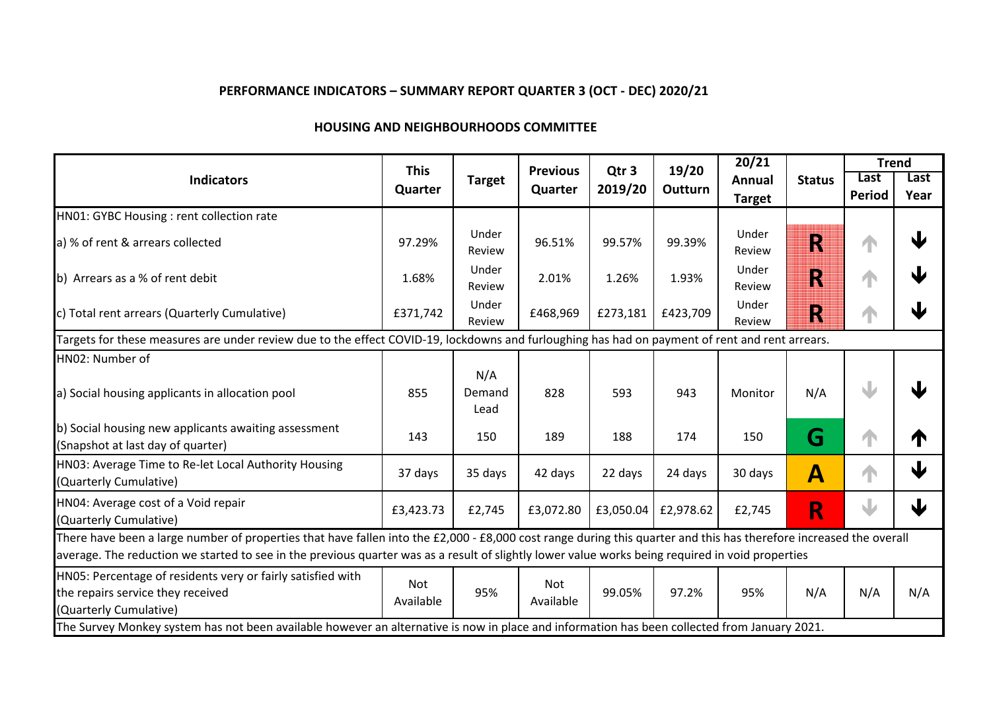### **HOUSING AND NEIGHBOURHOODS COMMITTEE**

|                                                                                                                                                                                                                                                                                                                        | <b>This</b>      |                       | <b>Previous</b>  | Qtr <sub>3</sub> | 19/20     | 20/21           |               |        | <b>Trend</b> |
|------------------------------------------------------------------------------------------------------------------------------------------------------------------------------------------------------------------------------------------------------------------------------------------------------------------------|------------------|-----------------------|------------------|------------------|-----------|-----------------|---------------|--------|--------------|
| <b>Indicators</b>                                                                                                                                                                                                                                                                                                      | Quarter          | <b>Target</b>         | Quarter          | 2019/20          | Outturn   | <b>Annual</b>   | <b>Status</b> | Last   | Last         |
|                                                                                                                                                                                                                                                                                                                        |                  |                       |                  |                  |           | <b>Target</b>   |               | Period | Year         |
| HN01: GYBC Housing : rent collection rate                                                                                                                                                                                                                                                                              |                  |                       |                  |                  |           |                 |               |        |              |
| a) % of rent & arrears collected                                                                                                                                                                                                                                                                                       | 97.29%           | Under<br>Review       | 96.51%           | 99.57%           | 99.39%    | Under<br>Review | R             | 1      | 业            |
| b) Arrears as a % of rent debit                                                                                                                                                                                                                                                                                        | 1.68%            | Under<br>Review       | 2.01%            | 1.26%            | 1.93%     | Under<br>Review | R             | 1      |              |
| c) Total rent arrears (Quarterly Cumulative)                                                                                                                                                                                                                                                                           | £371,742         | Under<br>Review       | £468,969         | £273,181         | £423,709  | Under<br>Review | R             | 1      | J            |
| Targets for these measures are under review due to the effect COVID-19, lockdowns and furloughing has had on payment of rent and rent arrears.                                                                                                                                                                         |                  |                       |                  |                  |           |                 |               |        |              |
| HN02: Number of                                                                                                                                                                                                                                                                                                        |                  |                       |                  |                  |           |                 |               |        |              |
| a) Social housing applicants in allocation pool                                                                                                                                                                                                                                                                        | 855              | N/A<br>Demand<br>Lead | 828              | 593              | 943       | Monitor         | N/A           | J      |              |
| b) Social housing new applicants awaiting assessment<br>(Snapshot at last day of quarter)                                                                                                                                                                                                                              | 143              | 150                   | 189              | 188              | 174       | 150             | G             | 个      | T            |
| HN03: Average Time to Re-let Local Authority Housing<br>(Quarterly Cumulative)                                                                                                                                                                                                                                         | 37 days          | 35 days               | 42 days          | 22 days          | 24 days   | 30 days         | A             | 1      | $\bigcup$    |
| HN04: Average cost of a Void repair<br>(Quarterly Cumulative)                                                                                                                                                                                                                                                          | £3,423.73        | £2,745                | £3,072.80        | £3,050.04        | £2,978.62 | £2,745          | R             | J      | Ψ            |
| There have been a large number of properties that have fallen into the £2,000 - £8,000 cost range during this quarter and this has therefore increased the overall<br>average. The reduction we started to see in the previous quarter was as a result of slightly lower value works being required in void properties |                  |                       |                  |                  |           |                 |               |        |              |
| HN05: Percentage of residents very or fairly satisfied with<br>the repairs service they received<br>(Quarterly Cumulative)<br>The Survey Monkey system has not been available however an alternative is now in place and information has been collected from January 2021.                                             | Not<br>Available | 95%                   | Not<br>Available | 99.05%           | 97.2%     | 95%             | N/A           | N/A    | N/A          |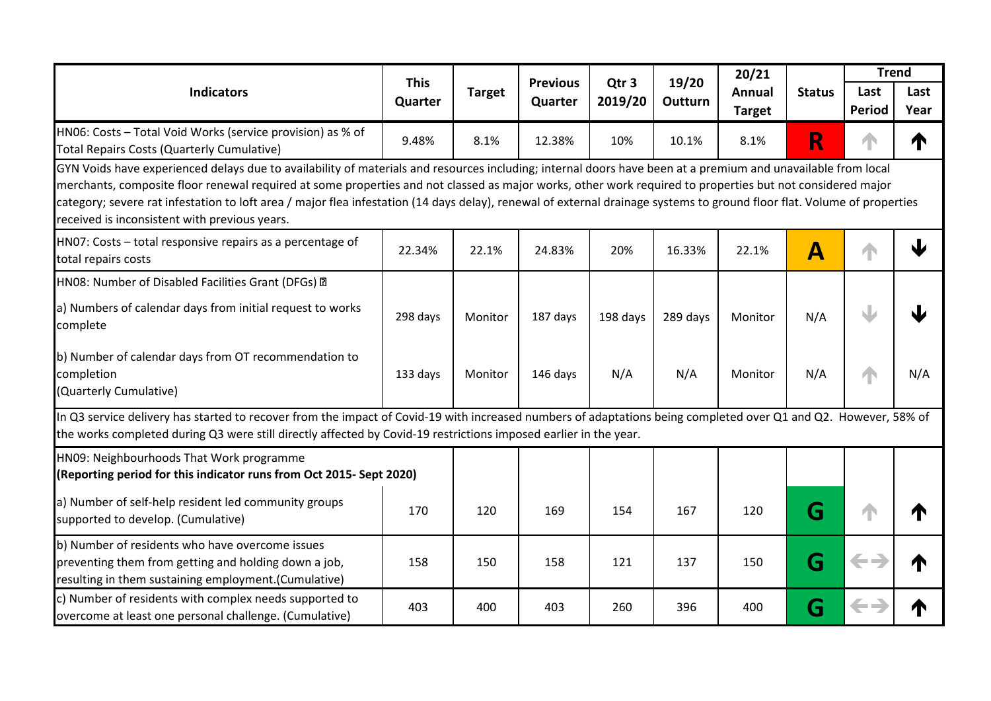| <b>Indicators</b>                                                                                                                                                                                                                                                                                                                                                                                                                                                                                                                                     | <b>This</b><br>Quarter | <b>Target</b> | <b>Previous</b><br>Quarter | Qtr <sub>3</sub><br>2019/20 | 19/20<br>Outturn | 20/21<br>Annual<br><b>Target</b> | <b>Status</b>    | <b>Trend</b><br>Last<br><b>Period</b> | Last<br>Year |
|-------------------------------------------------------------------------------------------------------------------------------------------------------------------------------------------------------------------------------------------------------------------------------------------------------------------------------------------------------------------------------------------------------------------------------------------------------------------------------------------------------------------------------------------------------|------------------------|---------------|----------------------------|-----------------------------|------------------|----------------------------------|------------------|---------------------------------------|--------------|
| HN06: Costs - Total Void Works (service provision) as % of<br>Total Repairs Costs (Quarterly Cumulative)                                                                                                                                                                                                                                                                                                                                                                                                                                              | 9.48%                  | 8.1%          | 12.38%                     | 10%                         | 10.1%            | 8.1%                             | R                | 4                                     | T            |
| GYN Voids have experienced delays due to availability of materials and resources including; internal doors have been at a premium and unavailable from local<br>merchants, composite floor renewal required at some properties and not classed as major works, other work required to properties but not considered major<br>category; severe rat infestation to loft area / major flea infestation (14 days delay), renewal of external drainage systems to ground floor flat. Volume of properties<br>received is inconsistent with previous years. |                        |               |                            |                             |                  |                                  |                  |                                       |              |
| HN07: Costs - total responsive repairs as a percentage of<br>total repairs costs                                                                                                                                                                                                                                                                                                                                                                                                                                                                      | 22.34%                 | 22.1%         | 24.83%                     | 20%                         | 16.33%           | 22.1%                            | $\blacktriangle$ |                                       |              |
| HN08: Number of Disabled Facilities Grant (DFGs) @                                                                                                                                                                                                                                                                                                                                                                                                                                                                                                    |                        |               |                            |                             |                  |                                  |                  |                                       |              |
| a) Numbers of calendar days from initial request to works<br>complete                                                                                                                                                                                                                                                                                                                                                                                                                                                                                 | 298 days               | Monitor       | 187 days                   | 198 days                    | 289 days         | Monitor                          | N/A              |                                       |              |
| b) Number of calendar days from OT recommendation to<br>completion<br>(Quarterly Cumulative)                                                                                                                                                                                                                                                                                                                                                                                                                                                          | 133 days               | Monitor       | 146 days                   | N/A                         | N/A              | Monitor                          | N/A              |                                       | N/A          |
| In Q3 service delivery has started to recover from the impact of Covid-19 with increased numbers of adaptations being completed over Q1 and Q2. However, 58% of<br>the works completed during Q3 were still directly affected by Covid-19 restrictions imposed earlier in the year.                                                                                                                                                                                                                                                                   |                        |               |                            |                             |                  |                                  |                  |                                       |              |
| HN09: Neighbourhoods That Work programme<br>(Reporting period for this indicator runs from Oct 2015- Sept 2020)                                                                                                                                                                                                                                                                                                                                                                                                                                       |                        |               |                            |                             |                  |                                  |                  |                                       |              |
| a) Number of self-help resident led community groups<br>supported to develop. (Cumulative)                                                                                                                                                                                                                                                                                                                                                                                                                                                            | 170                    | 120           | 169                        | 154                         | 167              | 120                              | G                |                                       |              |
| b) Number of residents who have overcome issues<br>preventing them from getting and holding down a job,<br>resulting in them sustaining employment.(Cumulative)                                                                                                                                                                                                                                                                                                                                                                                       | 158                    | 150           | 158                        | 121                         | 137              | 150                              | G                | $\leftarrow$                          |              |
| c) Number of residents with complex needs supported to<br>overcome at least one personal challenge. (Cumulative)                                                                                                                                                                                                                                                                                                                                                                                                                                      | 403                    | 400           | 403                        | 260                         | 396              | 400                              | G                | <b>Service</b>                        |              |